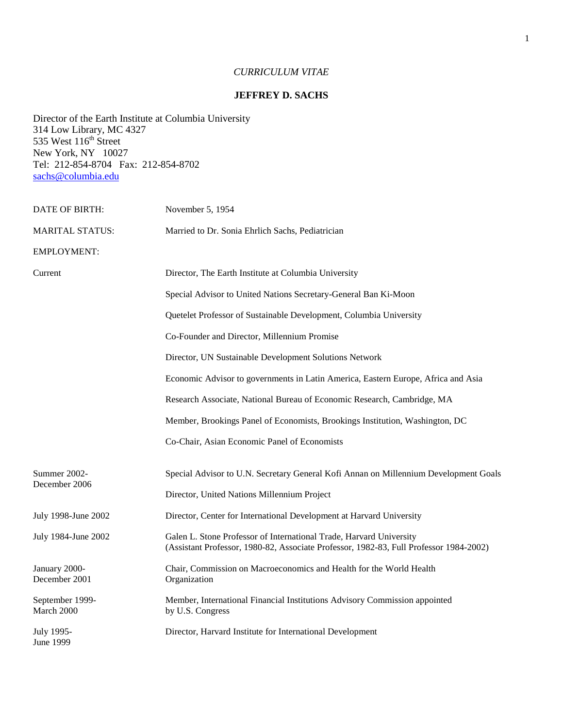# *CURRICULUM VITAE*

## **JEFFREY D. SACHS**

Director of the Earth Institute at Columbia University 314 Low Library, MC 4327 535 West  $116<sup>th</sup>$  Street New York, NY 10027 Tel: 212-854-8704 Fax: 212-854-8702 [sachs@columbia.edu](mailto:sachs@columbia.edu)

| DATE OF BIRTH:                 | November 5, 1954                                                                                                                                              |
|--------------------------------|---------------------------------------------------------------------------------------------------------------------------------------------------------------|
| <b>MARITAL STATUS:</b>         | Married to Dr. Sonia Ehrlich Sachs, Pediatrician                                                                                                              |
| <b>EMPLOYMENT:</b>             |                                                                                                                                                               |
| Current                        | Director, The Earth Institute at Columbia University                                                                                                          |
|                                | Special Advisor to United Nations Secretary-General Ban Ki-Moon                                                                                               |
|                                | Quetelet Professor of Sustainable Development, Columbia University                                                                                            |
|                                | Co-Founder and Director, Millennium Promise                                                                                                                   |
|                                | Director, UN Sustainable Development Solutions Network                                                                                                        |
|                                | Economic Advisor to governments in Latin America, Eastern Europe, Africa and Asia                                                                             |
|                                | Research Associate, National Bureau of Economic Research, Cambridge, MA                                                                                       |
|                                | Member, Brookings Panel of Economists, Brookings Institution, Washington, DC                                                                                  |
|                                | Co-Chair, Asian Economic Panel of Economists                                                                                                                  |
| Summer 2002-<br>December 2006  | Special Advisor to U.N. Secretary General Kofi Annan on Millennium Development Goals<br>Director, United Nations Millennium Project                           |
| July 1998-June 2002            | Director, Center for International Development at Harvard University                                                                                          |
| July 1984-June 2002            | Galen L. Stone Professor of International Trade, Harvard University<br>(Assistant Professor, 1980-82, Associate Professor, 1982-83, Full Professor 1984-2002) |
| January 2000-<br>December 2001 | Chair, Commission on Macroeconomics and Health for the World Health<br>Organization                                                                           |
| September 1999-<br>March 2000  | Member, International Financial Institutions Advisory Commission appointed<br>by U.S. Congress                                                                |
| July 1995-<br>June 1999        | Director, Harvard Institute for International Development                                                                                                     |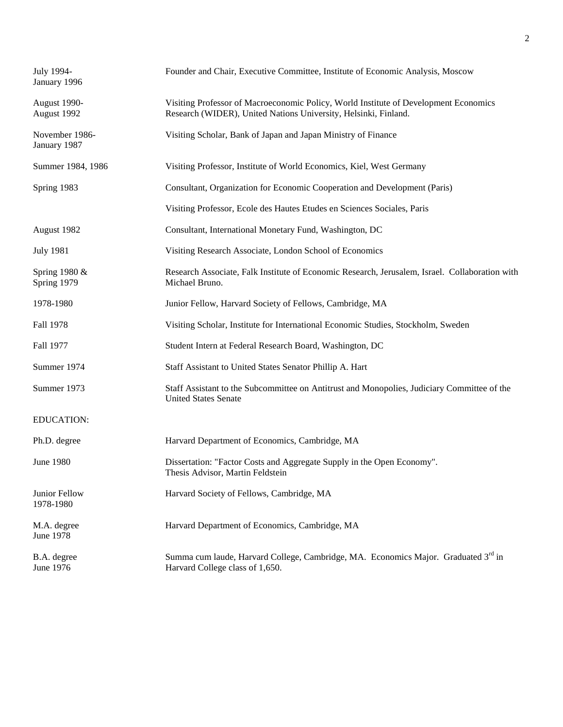| July 1994-<br>January 1996     | Founder and Chair, Executive Committee, Institute of Economic Analysis, Moscow                                                                          |
|--------------------------------|---------------------------------------------------------------------------------------------------------------------------------------------------------|
| August 1990-<br>August 1992    | Visiting Professor of Macroeconomic Policy, World Institute of Development Economics<br>Research (WIDER), United Nations University, Helsinki, Finland. |
| November 1986-<br>January 1987 | Visiting Scholar, Bank of Japan and Japan Ministry of Finance                                                                                           |
| Summer 1984, 1986              | Visiting Professor, Institute of World Economics, Kiel, West Germany                                                                                    |
| Spring 1983                    | Consultant, Organization for Economic Cooperation and Development (Paris)                                                                               |
|                                | Visiting Professor, Ecole des Hautes Etudes en Sciences Sociales, Paris                                                                                 |
| August 1982                    | Consultant, International Monetary Fund, Washington, DC                                                                                                 |
| <b>July 1981</b>               | Visiting Research Associate, London School of Economics                                                                                                 |
| Spring 1980 &<br>Spring 1979   | Research Associate, Falk Institute of Economic Research, Jerusalem, Israel. Collaboration with<br>Michael Bruno.                                        |
| 1978-1980                      | Junior Fellow, Harvard Society of Fellows, Cambridge, MA                                                                                                |
| Fall 1978                      | Visiting Scholar, Institute for International Economic Studies, Stockholm, Sweden                                                                       |
| Fall 1977                      | Student Intern at Federal Research Board, Washington, DC                                                                                                |
| Summer 1974                    | Staff Assistant to United States Senator Phillip A. Hart                                                                                                |
| Summer 1973                    | Staff Assistant to the Subcommittee on Antitrust and Monopolies, Judiciary Committee of the<br><b>United States Senate</b>                              |
| <b>EDUCATION:</b>              |                                                                                                                                                         |
| Ph.D. degree                   | Harvard Department of Economics, Cambridge, MA                                                                                                          |
| June 1980                      | Dissertation: "Factor Costs and Aggregate Supply in the Open Economy".<br>Thesis Advisor, Martin Feldstein                                              |
| Junior Fellow<br>1978-1980     | Harvard Society of Fellows, Cambridge, MA                                                                                                               |
| M.A. degree<br>June 1978       | Harvard Department of Economics, Cambridge, MA                                                                                                          |
| B.A. degree<br>June 1976       | Summa cum laude, Harvard College, Cambridge, MA. Economics Major. Graduated 3 <sup>rd</sup> in<br>Harvard College class of 1,650.                       |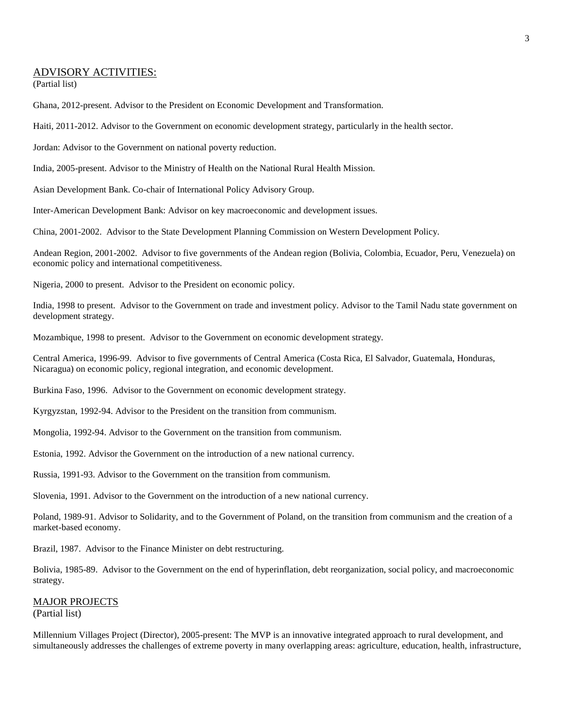## ADVISORY ACTIVITIES:

(Partial list)

Ghana, 2012-present. Advisor to the President on Economic Development and Transformation.

Haiti, 2011-2012. Advisor to the Government on economic development strategy, particularly in the health sector.

Jordan: Advisor to the Government on national poverty reduction.

India, 2005-present. Advisor to the Ministry of Health on the National Rural Health Mission.

Asian Development Bank. Co-chair of International Policy Advisory Group.

Inter-American Development Bank: Advisor on key macroeconomic and development issues.

China, 2001-2002. Advisor to the State Development Planning Commission on Western Development Policy.

Andean Region, 2001-2002. Advisor to five governments of the Andean region (Bolivia, Colombia, Ecuador, Peru, Venezuela) on economic policy and international competitiveness.

Nigeria, 2000 to present. Advisor to the President on economic policy.

India, 1998 to present. Advisor to the Government on trade and investment policy. Advisor to the Tamil Nadu state government on development strategy.

Mozambique, 1998 to present. Advisor to the Government on economic development strategy.

Central America, 1996-99. Advisor to five governments of Central America (Costa Rica, El Salvador, Guatemala, Honduras, Nicaragua) on economic policy, regional integration, and economic development.

Burkina Faso, 1996. Advisor to the Government on economic development strategy.

Kyrgyzstan, 1992-94. Advisor to the President on the transition from communism.

Mongolia, 1992-94. Advisor to the Government on the transition from communism.

Estonia, 1992. Advisor the Government on the introduction of a new national currency.

Russia, 1991-93. Advisor to the Government on the transition from communism.

Slovenia, 1991. Advisor to the Government on the introduction of a new national currency.

Poland, 1989-91. Advisor to Solidarity, and to the Government of Poland, on the transition from communism and the creation of a market-based economy.

Brazil, 1987. Advisor to the Finance Minister on debt restructuring.

Bolivia, 1985-89. Advisor to the Government on the end of hyperinflation, debt reorganization, social policy, and macroeconomic strategy.

## MAJOR PROJECTS

(Partial list)

Millennium Villages Project (Director), 2005-present: The MVP is an innovative integrated approach to rural development, and simultaneously addresses the challenges of extreme poverty in many overlapping areas: agriculture, education, health, infrastructure,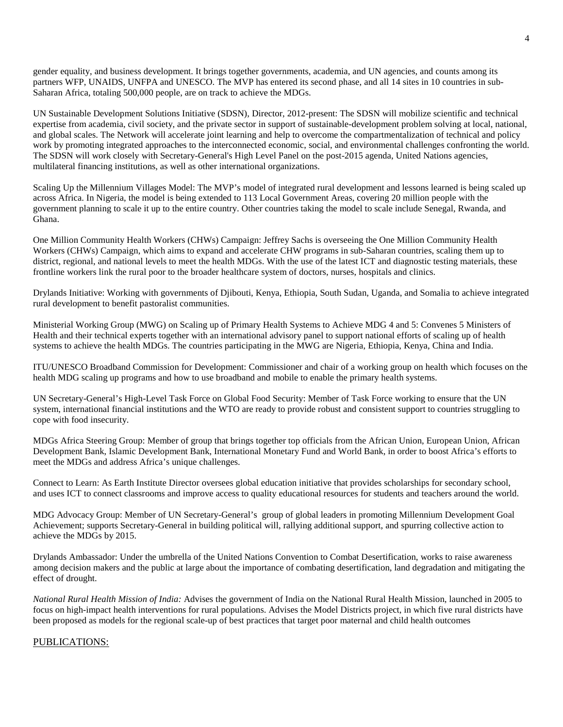gender equality, and business development. It brings together governments, academia, and UN agencies, and counts among its partners WFP, UNAIDS, UNFPA and UNESCO. The MVP has entered its second phase, and all 14 sites in 10 countries in sub-Saharan Africa, totaling 500,000 people, are on track to achieve the MDGs.

UN Sustainable Development Solutions Initiative (SDSN), Director, 2012-present: The SDSN will mobilize scientific and technical expertise from academia, civil society, and the private sector in support of sustainable-development problem solving at local, national, and global scales. The Network will accelerate joint learning and help to overcome the compartmentalization of technical and policy work by promoting integrated approaches to the interconnected economic, social, and environmental challenges confronting the world. The SDSN will work closely with Secretary-General's High Level Panel on the post-2015 agenda, United Nations agencies, multilateral financing institutions, as well as other international organizations.

Scaling Up the Millennium Villages Model: The MVP's model of integrated rural development and lessons learned is being scaled up across Africa. In Nigeria, the model is being extended to 113 Local Government Areas, covering 20 million people with the government planning to scale it up to the entire country. Other countries taking the model to scale include Senegal, Rwanda, and Ghana.

One Million Community Health Workers (CHWs) Campaign: Jeffrey Sachs is overseeing the One Million Community Health Workers (CHWs) Campaign, which aims to expand and accelerate CHW programs in sub-Saharan countries, scaling them up to district, regional, and national levels to meet the health MDGs. With the use of the latest ICT and diagnostic testing materials, these frontline workers link the rural poor to the broader healthcare system of doctors, nurses, hospitals and clinics.

Drylands Initiative: Working with governments of Djibouti, Kenya, Ethiopia, South Sudan, Uganda, and Somalia to achieve integrated rural development to benefit pastoralist communities.

Ministerial Working Group (MWG) on Scaling up of Primary Health Systems to Achieve MDG 4 and 5: Convenes 5 Ministers of Health and their technical experts together with an international advisory panel to support national efforts of scaling up of health systems to achieve the health MDGs. The countries participating in the MWG are Nigeria, Ethiopia, Kenya, China and India.

ITU/UNESCO Broadband Commission for Development: Commissioner and chair of a working group on health which focuses on the health MDG scaling up programs and how to use broadband and mobile to enable the primary health systems.

UN Secretary-General's High-Level Task Force on Global Food Security: Member of Task Force working to ensure that the UN system, international financial institutions and the WTO are ready to provide robust and consistent support to countries struggling to cope with food insecurity.

MDGs Africa Steering Group: Member of group that brings together top officials from the African Union, European Union, African Development Bank, Islamic Development Bank, International Monetary Fund and World Bank, in order to boost Africa's efforts to meet the MDGs and address Africa's unique challenges.

Connect to Learn: As Earth Institute Director oversees global education initiative that provides scholarships for secondary school, and uses ICT to connect classrooms and improve access to quality educational resources for students and teachers around the world.

MDG Advocacy Group: Member of UN Secretary-General's group of global leaders in promoting Millennium Development Goal Achievement; supports Secretary-General in building political will, rallying additional support, and spurring collective action to achieve the MDGs by 2015.

Drylands Ambassador: Under the umbrella of the United Nations Convention to Combat Desertification, works to raise awareness among decision makers and the public at large about the importance of combating desertification, land degradation and mitigating the effect of drought.

*National Rural Health Mission of India:* Advises the government of India on the National Rural Health Mission, launched in 2005 to focus on high-impact health interventions for rural populations. Advises the Model Districts project, in which five rural districts have been proposed as models for the regional scale-up of best practices that target poor maternal and child health outcomes

## PUBLICATIONS: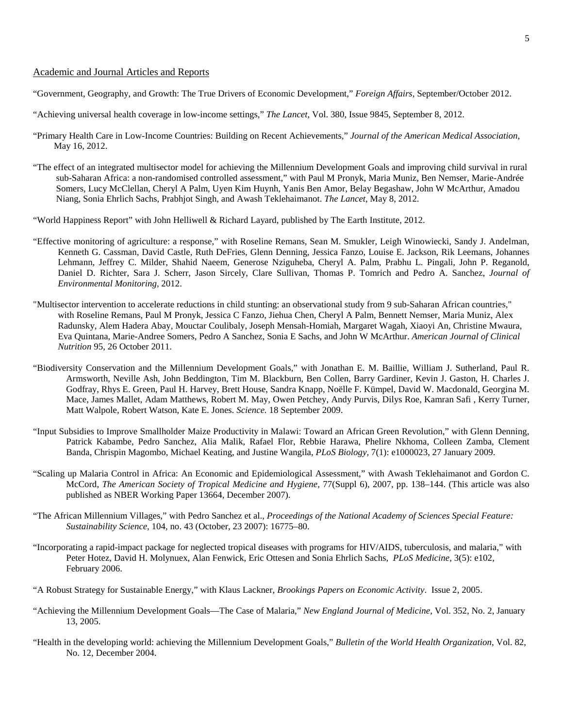## Academic and Journal Articles and Reports

- "Government, Geography, and Growth: The True Drivers of Economic Development," *Foreign Affairs*, September/October 2012.
- "Achieving universal health coverage in low-income settings," *The Lancet*, Vol. 380, Issue 9845, September 8, 2012.
- "Primary Health Care in Low-Income Countries: Building on Recent Achievements," *Journal of the American Medical Association*, May 16, 2012.
- "The effect of an integrated multisector model for achieving the Millennium Development Goals and improving child survival in rural sub-Saharan Africa: a non-randomised controlled assessment," with Paul M Pronyk, Maria Muniz, Ben Nemser, Marie-Andrée Somers, Lucy McClellan, Cheryl A Palm, Uyen Kim Huynh, Yanis Ben Amor, Belay Begashaw, John W McArthur, Amadou Niang, Sonia Ehrlich Sachs, Prabhjot Singh, and Awash Teklehaimanot. *The Lancet*, May 8, 2012.
- "World Happiness Report" with John Helliwell & Richard Layard, published by The Earth Institute, 2012.
- "Effective monitoring of agriculture: a response," with Roseline Remans, Sean M. Smukler, Leigh Winowiecki, Sandy J. Andelman, Kenneth G. Cassman, David Castle, Ruth DeFries, Glenn Denning, Jessica Fanzo, Louise E. Jackson, Rik Leemans, Johannes Lehmann, Jeffrey C. Milder, Shahid Naeem, Generose Nziguheba, Cheryl A. Palm, Prabhu L. Pingali, John P. Reganold, Daniel D. Richter, Sara J. Scherr, Jason Sircely, Clare Sullivan, Thomas P. Tomrich and Pedro A. Sanchez, *Journal of Environmental Monitoring*, 2012.
- "Multisector intervention to accelerate reductions in child stunting: an observational study from 9 sub-Saharan African countries," with Roseline Remans, Paul M Pronyk, Jessica C Fanzo, Jiehua Chen, Cheryl A Palm, Bennett Nemser, Maria Muniz, Alex Radunsky, Alem Hadera Abay, Mouctar Coulibaly, Joseph Mensah-Homiah, Margaret Wagah, Xiaoyi An, Christine Mwaura, Eva Quintana, Marie-Andree Somers, Pedro A Sanchez, Sonia E Sachs, and John W McArthur. *American Journal of Clinical Nutrition* 95, 26 October 2011.
- "Biodiversity Conservation and the Millennium Development Goals," with Jonathan E. M. Baillie, William J. Sutherland, Paul R. Armsworth, Neville Ash, John Beddington, Tim M. Blackburn, Ben Collen, Barry Gardiner, Kevin J. Gaston, H. Charles J. Godfray, Rhys E. Green, Paul H. Harvey, Brett House, Sandra Knapp, Noëlle F. Kümpel, David W. Macdonald, Georgina M. Mace, James Mallet, Adam Matthews, Robert M. May, Owen Petchey, Andy Purvis, Dilys Roe, Kamran Safi , Kerry Turner, Matt Walpole, Robert Watson, Kate E. Jones. *Science.* 18 September 2009.
- "Input Subsidies to Improve Smallholder Maize Productivity in Malawi: Toward an African Green Revolution," with Glenn Denning, Patrick Kabambe, Pedro Sanchez, Alia Malik, Rafael Flor, Rebbie Harawa, Phelire Nkhoma, Colleen Zamba, Clement Banda, Chrispin Magombo, Michael Keating, and Justine Wangila, *PLoS Biology,* 7(1): e1000023, 27 January 2009.
- "Scaling up Malaria Control in Africa: An Economic and Epidemiological Assessment," with Awash Teklehaimanot and Gordon C. McCord, *The American Society of Tropical Medicine and Hygiene*, 77(Suppl 6), 2007, pp. 138–144. (This article was also published as NBER Working Paper 13664, December 2007).
- "The African Millennium Villages," with Pedro Sanchez et al., *Proceedings of the National Academy of Sciences Special Feature: Sustainability Science*, 104, no. 43 (October, 23 2007): 16775–80.
- "Incorporating a rapid-impact package for neglected tropical diseases with programs for HIV/AIDS, tuberculosis, and malaria," with Peter Hotez, David H. Molynuex, Alan Fenwick, Eric Ottesen and Sonia Ehrlich Sachs, *PLoS Medicine*, 3(5): e102, February 2006.
- "A Robust Strategy for Sustainable Energy," with Klaus Lackner, *Brookings Papers on Economic Activity*. Issue 2, 2005.
- "Achieving the Millennium Development Goals—The Case of Malaria," *New England Journal of Medicine*, Vol. 352, No. 2, January 13, 2005.
- "Health in the developing world: achieving the Millennium Development Goals," *Bulletin of the World Health Organization*, Vol. 82, No. 12, December 2004.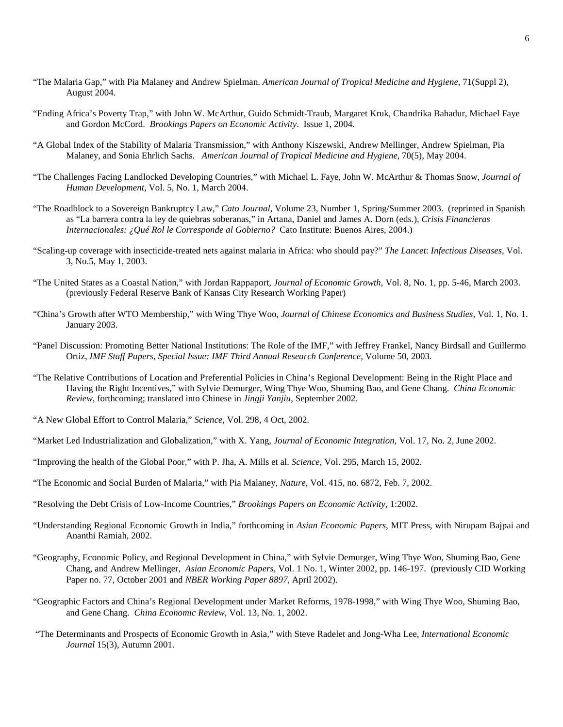- "The Malaria Gap," with Pia Malaney and Andrew Spielman. *American Journal of Tropical Medicine and Hygiene*, 71(Suppl 2), August 2004.
- "Ending Africa's Poverty Trap," with John W. McArthur, Guido Schmidt-Traub, Margaret Kruk, Chandrika Bahadur, Michael Faye and Gordon McCord. *Brookings Papers on Economic Activity*. Issue 1, 2004.
- "A Global Index of the Stability of Malaria Transmission," with Anthony Kiszewski, Andrew Mellinger, Andrew Spielman, Pia Malaney, and Sonia Ehrlich Sachs. *American Journal of Tropical Medicine and Hygiene,* 70(5), May 2004.
- "The Challenges Facing Landlocked Developing Countries," with Michael L. Faye, John W. McArthur & Thomas Snow, *Journal of Human Development*, Vol. 5, No. 1, March 2004.
- "The Roadblock to a Sovereign Bankruptcy Law," *Cato Journal*, Volume 23, Number 1, Spring/Summer 2003. (reprinted in Spanish as "La barrera contra la ley de quiebras soberanas," in Artana, Daniel and James A. Dorn (eds.), *Crisis Financieras Internacionales: ¿Qué Rol le Corresponde al Gobierno?* Cato Institute: Buenos Aires, 2004.)
- "Scaling-up coverage with insecticide-treated nets against malaria in Africa: who should pay?" *The Lancet*: *Infectious Diseases*, Vol. 3, No.5, May 1, 2003.
- "The United States as a Coastal Nation," with Jordan Rappaport, *Journal of Economic Growth*, Vol. 8, No. 1, pp. 5-46, March 2003. (previously Federal Reserve Bank of Kansas City Research Working Paper)
- "China's Growth after WTO Membership," with Wing Thye Woo, *Journal of Chinese Economics and Business Studies*, Vol. 1, No. 1. January 2003.
- "Panel Discussion: Promoting Better National Institutions: The Role of the IMF," with Jeffrey Frankel, Nancy Birdsall and Guillermo Ortiz, *IMF Staff Papers, Special Issue: IMF Third Annual Research Conference*, Volume 50, 2003.
- "The Relative Contributions of Location and Preferential Policies in China's Regional Development: Being in the Right Place and Having the Right Incentives," with Sylvie Demurger, Wing Thye Woo, Shuming Bao, and Gene Chang. *China Economic Review*, forthcoming; translated into Chinese in *Jingji Yanjiu*, September 2002.
- "A New Global Effort to Control Malaria," *Science,* Vol. 298, 4 Oct, 2002.
- "Market Led Industrialization and Globalization," with X. Yang, *Journal of Economic Integration*, Vol. 17, No. 2, June 2002.
- "Improving the health of the Global Poor," with P. Jha, A. Mills et al. *Science*, Vol. 295, March 15, 2002.
- "The Economic and Social Burden of Malaria," with Pia Malaney, *Nature*, Vol. 415, no. 6872, Feb. 7, 2002.
- "Resolving the Debt Crisis of Low-Income Countries," *Brookings Papers on Economic Activity*, 1:2002.
- "Understanding Regional Economic Growth in India," forthcoming in *Asian Economic Papers*, MIT Press, with Nirupam Bajpai and Ananthi Ramiah, 2002.
- "Geography, Economic Policy, and Regional Development in China," with Sylvie Demurger, Wing Thye Woo, Shuming Bao, Gene Chang, and Andrew Mellinger*, Asian Economic Papers*, Vol. 1 No. 1, Winter 2002, pp. 146-197. (previously CID Working Paper no. 77, October 2001 and *NBER Working Paper 8897*, April 2002).
- "Geographic Factors and China's Regional Development under Market Reforms, 1978-1998," with Wing Thye Woo, Shuming Bao, and Gene Chang. *China Economic Review*, Vol. 13, No. 1, 2002.
- "The Determinants and Prospects of Economic Growth in Asia," with Steve Radelet and Jong-Wha Lee, *International Economic Journal* 15(3), Autumn 2001.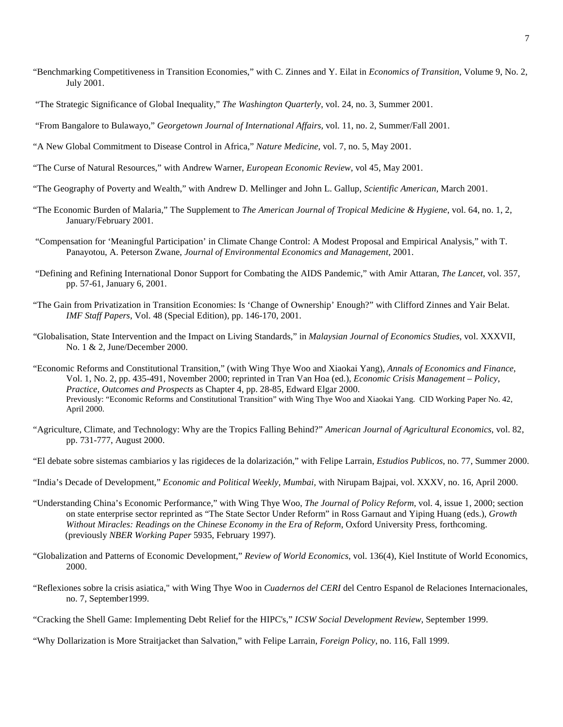- "Benchmarking Competitiveness in Transition Economies," with C. Zinnes and Y. Eilat in *Economics of Transition*, Volume 9, No. 2, July 2001.
- "The Strategic Significance of Global Inequality," *The Washington Quarterly*, vol. 24, no. 3, Summer 2001.

"From Bangalore to Bulawayo," *Georgetown Journal of International Affairs,* vol. 11, no. 2, Summer/Fall 2001.

- "A New Global Commitment to Disease Control in Africa," *Nature Medicine*, vol. 7, no. 5, May 2001.
- "The Curse of Natural Resources," with Andrew Warner, *European Economic Review*, vol 45, May 2001.
- "The Geography of Poverty and Wealth," with Andrew D. Mellinger and John L. Gallup, *Scientific American,* March 2001.
- "The Economic Burden of Malaria," The Supplement to *The American Journal of Tropical Medicine & Hygiene*, vol. 64, no. 1, 2, January/February 2001.
- "Compensation for 'Meaningful Participation' in Climate Change Control: A Modest Proposal and Empirical Analysis," with T. Panayotou, A. Peterson Zwane, *Journal of Environmental Economics and Management,* 2001.
- "Defining and Refining International Donor Support for Combating the AIDS Pandemic," with Amir Attaran, *The Lancet*, vol. 357, pp. 57-61, January 6, 2001.
- "The Gain from Privatization in Transition Economies: Is 'Change of Ownership' Enough?" with Clifford Zinnes and Yair Belat. *IMF Staff Papers*, Vol. 48 (Special Edition), pp. 146-170, 2001.
- "Globalisation, State Intervention and the Impact on Living Standards," in *Malaysian Journal of Economics Studies*, vol. XXXVII, No. 1 & 2, June/December 2000.
- "Economic Reforms and Constitutional Transition," (with Wing Thye Woo and Xiaokai Yang), *Annals of Economics and Finance*, Vol. 1, No. 2, pp. 435-491, November 2000; reprinted in Tran Van Hoa (ed.), *Economic Crisis Management – Policy, Practice, Outcomes and Prospects* as Chapter 4, pp. 28-85, Edward Elgar 2000. Previously: "Economic Reforms and Constitutional Transition" with Wing Thye Woo and Xiaokai Yang. CID Working Paper No. 42, April 2000.
- "Agriculture, Climate, and Technology: Why are the Tropics Falling Behind?" *American Journal of Agricultural Economics*, vol. 82, pp. 731-777, August 2000.
- "El debate sobre sistemas cambiarios y las rigideces de la dolarización," with Felipe Larrain, *Estudios Publicos*, no. 77, Summer 2000.
- "India's Decade of Development," *Economic and Political Weekly*, *Mumbai,* with Nirupam Bajpai, vol. XXXV, no. 16, April 2000.
- "Understanding China's Economic Performance," with Wing Thye Woo, *The Journal of Policy Reform*, vol. 4, issue 1, 2000; section on state enterprise sector reprinted as "The State Sector Under Reform" in Ross Garnaut and Yiping Huang (eds.), *Growth Without Miracles: Readings on the Chinese Economy in the Era of Reform*, Oxford University Press, forthcoming. (previously *NBER Working Paper* 5935, February 1997).
- "Globalization and Patterns of Economic Development," *Review of World Economics*, vol. 136(4), Kiel Institute of World Economics, 2000.
- "Reflexiones sobre la crisis asiatica," with Wing Thye Woo in *Cuadernos del CERI* del Centro Espanol de Relaciones Internacionales, no. 7, September1999.
- "Cracking the Shell Game: Implementing Debt Relief for the HIPC's," *ICSW Social Development Review*, September 1999.
- "Why Dollarization is More Straitjacket than Salvation," with Felipe Larrain, *Foreign Policy*, no. 116, Fall 1999.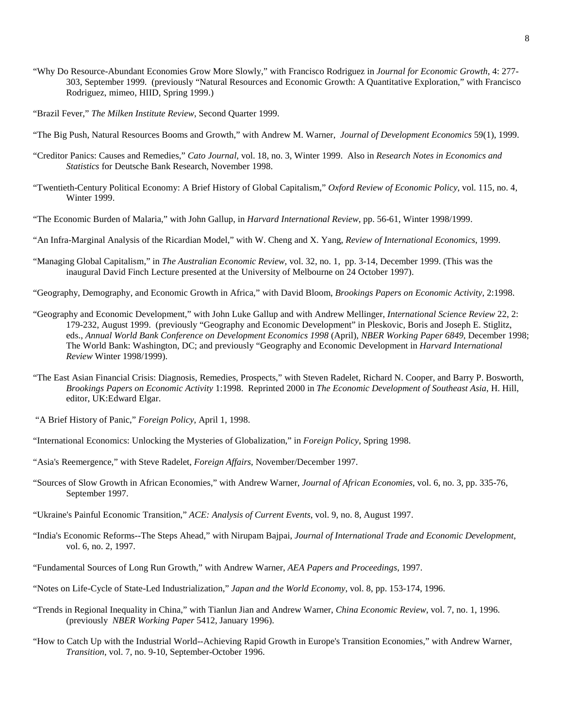- "Why Do Resource-Abundant Economies Grow More Slowly," with Francisco Rodriguez in *Journal for Economic Growth*, 4: 277- 303, September 1999. (previously "Natural Resources and Economic Growth: A Quantitative Exploration," with Francisco Rodriguez, mimeo, HIID, Spring 1999.)
- "Brazil Fever," *The Milken Institute Review*, Second Quarter 1999.
- "The Big Push, Natural Resources Booms and Growth," with Andrew M. Warner, *Journal of Development Economics* 59(1), 1999.
- "Creditor Panics: Causes and Remedies," *Cato Journal*, vol. 18, no. 3, Winter 1999. Also in *Research Notes in Economics and Statistics* for Deutsche Bank Research, November 1998.
- "Twentieth-Century Political Economy: A Brief History of Global Capitalism," *Oxford Review of Economic Policy*, vol. 115, no. 4, Winter 1999.
- "The Economic Burden of Malaria," with John Gallup, in *Harvard International Review,* pp. 56-61, Winter 1998/1999.
- "An Infra-Marginal Analysis of the Ricardian Model," with W. Cheng and X. Yang, *Review of International Economics*, 1999.
- "Managing Global Capitalism," in *The Australian Economic Review*, vol. 32, no. 1, pp. 3-14, December 1999. (This was the inaugural David Finch Lecture presented at the University of Melbourne on 24 October 1997).
- "Geography, Demography, and Economic Growth in Africa," with David Bloom, *Brookings Papers on Economic Activity*, 2:1998.
- "Geography and Economic Development," with John Luke Gallup and with Andrew Mellinger, *International Science Review* 22, 2: 179-232, August 1999. (previously "Geography and Economic Development" in Pleskovic, Boris and Joseph E. Stiglitz, eds., *Annual World Bank Conference on Development Economics 1998* (April), *NBER Working Paper 6849*, December 1998; The World Bank: Washington, DC; and previously "Geography and Economic Development in *Harvard International Review* Winter 1998/1999).
- "The East Asian Financial Crisis: Diagnosis, Remedies, Prospects," with Steven Radelet, Richard N. Cooper, and Barry P. Bosworth, *Brookings Papers on Economic Activity* 1:1998. Reprinted 2000 in *The Economic Development of Southeast Asia*, H. Hill, editor, UK:Edward Elgar.
- "A Brief History of Panic," *Foreign Policy*, April 1, 1998.
- "International Economics: Unlocking the Mysteries of Globalization," in *Foreign Policy*, Spring 1998.
- "Asia's Reemergence," with Steve Radelet, *Foreign Affairs*, November/December 1997.
- "Sources of Slow Growth in African Economies," with Andrew Warner, *Journal of African Economies*, vol. 6, no. 3, pp. 335-76, September 1997.
- "Ukraine's Painful Economic Transition," *ACE: Analysis of Current Events*, vol. 9, no. 8, August 1997.
- "India's Economic Reforms--The Steps Ahead," with Nirupam Bajpai, *Journal of International Trade and Economic Development*, vol. 6, no. 2, 1997.
- "Fundamental Sources of Long Run Growth," with Andrew Warner, *AEA Papers and Proceedings*, 1997.
- "Notes on Life-Cycle of State-Led Industrialization," *Japan and the World Economy*, vol. 8, pp. 153-174, 1996.
- "Trends in Regional Inequality in China," with Tianlun Jian and Andrew Warner, *China Economic Review*, vol. 7, no. 1, 1996. (previously *NBER Working Paper* 5412, January 1996).
- "How to Catch Up with the Industrial World--Achieving Rapid Growth in Europe's Transition Economies," with Andrew Warner, *Transition*, vol. 7, no. 9-10, September-October 1996.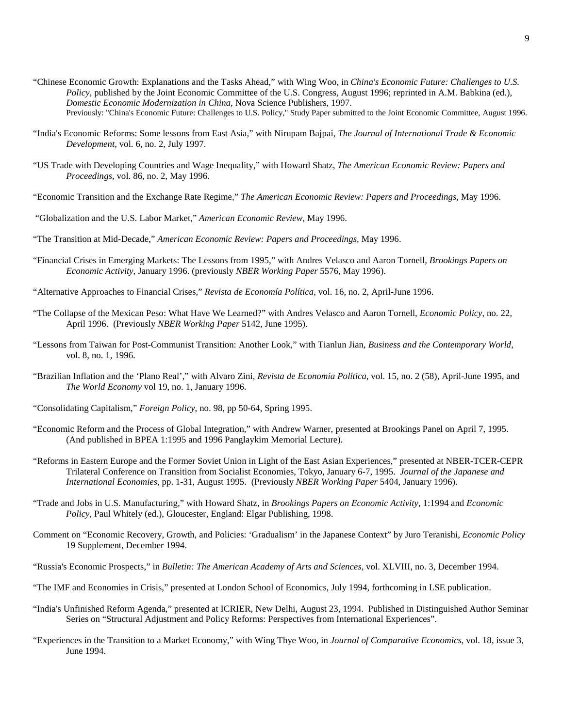- "Chinese Economic Growth: Explanations and the Tasks Ahead," with Wing Woo, in *China's Economic Future: Challenges to U.S. Policy*, published by the Joint Economic Committee of the U.S. Congress, August 1996; reprinted in A.M. Babkina (ed.), *Domestic Economic Modernization in China*, Nova Science Publishers, 1997. Previously: "China's Economic Future: Challenges to U.S. Policy," Study Paper submitted to the Joint Economic Committee, August 1996.
- "India's Economic Reforms: Some lessons from East Asia," with Nirupam Bajpai, *The Journal of International Trade & Economic Development*, vol. 6, no. 2, July 1997.
- "US Trade with Developing Countries and Wage Inequality," with Howard Shatz, *The American Economic Review: Papers and Proceedings*, vol. 86, no. 2, May 1996.
- "Economic Transition and the Exchange Rate Regime," *The American Economic Review: Papers and Proceedings*, May 1996.
- "Globalization and the U.S. Labor Market," *American Economic Review*, May 1996.
- "The Transition at Mid-Decade," *American Economic Review: Papers and Proceedings*, May 1996.
- "Financial Crises in Emerging Markets: The Lessons from 1995," with Andres Velasco and Aaron Tornell, *Brookings Papers on Economic Activity*, January 1996. (previously *NBER Working Paper* 5576, May 1996).
- "Alternative Approaches to Financial Crises," *Revista de Economía Política*, vol. 16, no. 2, April-June 1996.
- "The Collapse of the Mexican Peso: What Have We Learned?" with Andres Velasco and Aaron Tornell, *Economic Policy*, no. 22, April 1996. (Previously *NBER Working Paper* 5142, June 1995).
- "Lessons from Taiwan for Post-Communist Transition: Another Look," with Tianlun Jian, *Business and the Contemporary World*, vol. 8, no. 1, 1996.
- "Brazilian Inflation and the 'Plano Real'," with Alvaro Zini, *Revista de Economía Política*, vol. 15, no. 2 (58), April-June 1995, and *The World Economy* vol 19, no. 1, January 1996.
- "Consolidating Capitalism," *Foreign Policy*, no. 98, pp 50-64, Spring 1995.
- "Economic Reform and the Process of Global Integration," with Andrew Warner, presented at Brookings Panel on April 7, 1995. (And published in BPEA 1:1995 and 1996 Panglaykim Memorial Lecture).
- "Reforms in Eastern Europe and the Former Soviet Union in Light of the East Asian Experiences," presented at NBER-TCER-CEPR Trilateral Conference on Transition from Socialist Economies, Tokyo, January 6-7, 1995. *Journal of the Japanese and International Economies*, pp. 1-31, August 1995. (Previously *NBER Working Paper* 5404, January 1996).
- "Trade and Jobs in U.S. Manufacturing," with Howard Shatz, in *Brookings Papers on Economic Activity*, 1:1994 and *Economic Policy*, Paul Whitely (ed.), Gloucester, England: Elgar Publishing, 1998.
- Comment on "Economic Recovery, Growth, and Policies: 'Gradualism' in the Japanese Context" by Juro Teranishi, *Economic Policy* 19 Supplement, December 1994.
- "Russia's Economic Prospects," in *Bulletin: The American Academy of Arts and Sciences*, vol. XLVIII, no. 3, December 1994.
- "The IMF and Economies in Crisis," presented at London School of Economics, July 1994, forthcoming in LSE publication.
- "India's Unfinished Reform Agenda," presented at ICRIER, New Delhi, August 23, 1994. Published in Distinguished Author Seminar Series on "Structural Adjustment and Policy Reforms: Perspectives from International Experiences".
- "Experiences in the Transition to a Market Economy," with Wing Thye Woo, in *Journal of Comparative Economics*, vol. 18, issue 3, June 1994.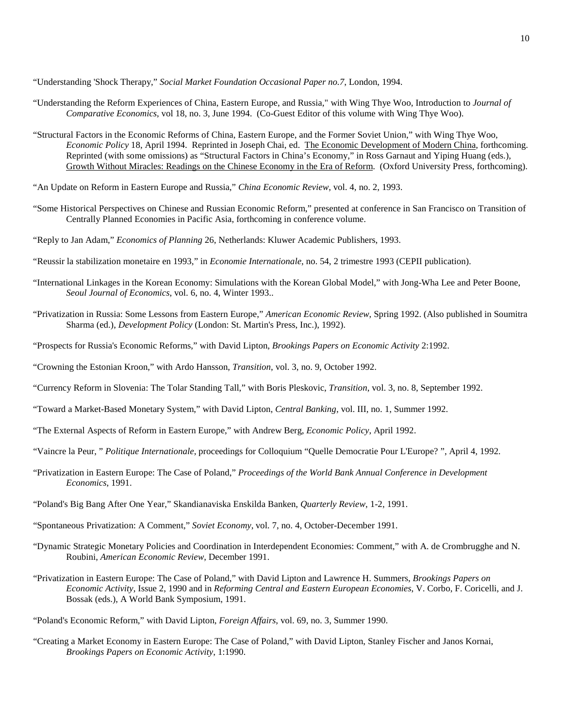"Understanding 'Shock Therapy," *Social Market Foundation Occasional Paper no.7*, London, 1994.

- "Understanding the Reform Experiences of China, Eastern Europe, and Russia," with Wing Thye Woo, Introduction to *Journal of Comparative Economics*, vol 18, no. 3, June 1994. (Co-Guest Editor of this volume with Wing Thye Woo).
- "Structural Factors in the Economic Reforms of China, Eastern Europe, and the Former Soviet Union," with Wing Thye Woo, *Economic Policy* 18, April 1994. Reprinted in Joseph Chai, ed. The Economic Development of Modern China, forthcoming. Reprinted (with some omissions) as "Structural Factors in China's Economy," in Ross Garnaut and Yiping Huang (eds.), Growth Without Miracles: Readings on the Chinese Economy in the Era of Reform. (Oxford University Press, forthcoming).
- "An Update on Reform in Eastern Europe and Russia," *China Economic Review*, vol. 4, no. 2, 1993.
- "Some Historical Perspectives on Chinese and Russian Economic Reform," presented at conference in San Francisco on Transition of Centrally Planned Economies in Pacific Asia, forthcoming in conference volume.
- "Reply to Jan Adam," *Economics of Planning* 26, Netherlands: Kluwer Academic Publishers, 1993.
- "Reussir la stabilization monetaire en 1993," in *Economie Internationale*, no. 54, 2 trimestre 1993 (CEPII publication).
- "International Linkages in the Korean Economy: Simulations with the Korean Global Model," with Jong-Wha Lee and Peter Boone, *Seoul Journal of Economics*, vol. 6, no. 4, Winter 1993..
- "Privatization in Russia: Some Lessons from Eastern Europe," *American Economic Review*, Spring 1992. (Also published in Soumitra Sharma (ed.), *Development Policy* (London: St. Martin's Press, Inc.), 1992).
- "Prospects for Russia's Economic Reforms," with David Lipton, *Brookings Papers on Economic Activity* 2:1992.
- "Crowning the Estonian Kroon," with Ardo Hansson, *Transition*, vol. 3, no. 9, October 1992.
- "Currency Reform in Slovenia: The Tolar Standing Tall," with Boris Pleskovic, *Transition*, vol. 3, no. 8, September 1992.
- "Toward a Market-Based Monetary System," with David Lipton, *Central Banking*, vol. III, no. 1, Summer 1992.
- "The External Aspects of Reform in Eastern Europe," with Andrew Berg, *Economic Policy*, April 1992.
- "Vaincre la Peur, " *Politique Internationale*, proceedings for Colloquium "Quelle Democratie Pour L'Europe? ", April 4, 1992.
- "Privatization in Eastern Europe: The Case of Poland," *Proceedings of the World Bank Annual Conference in Development Economics*, 1991.
- "Poland's Big Bang After One Year," Skandianaviska Enskilda Banken, *Quarterly Review*, 1-2, 1991.
- "Spontaneous Privatization: A Comment," *Soviet Economy*, vol. 7, no. 4, October-December 1991.
- "Dynamic Strategic Monetary Policies and Coordination in Interdependent Economies: Comment," with A. de Crombrugghe and N. Roubini, *American Economic Review*, December 1991.
- "Privatization in Eastern Europe: The Case of Poland," with David Lipton and Lawrence H. Summers, *Brookings Papers on Economic Activity*, Issue 2, 1990 and in *Reforming Central and Eastern European Economies*, V. Corbo, F. Coricelli, and J. Bossak (eds.), A World Bank Symposium, 1991.
- "Poland's Economic Reform," with David Lipton, *Foreign Affairs*, vol. 69, no. 3, Summer 1990.
- "Creating a Market Economy in Eastern Europe: The Case of Poland," with David Lipton, Stanley Fischer and Janos Kornai, *Brookings Papers on Economic Activity*, 1:1990.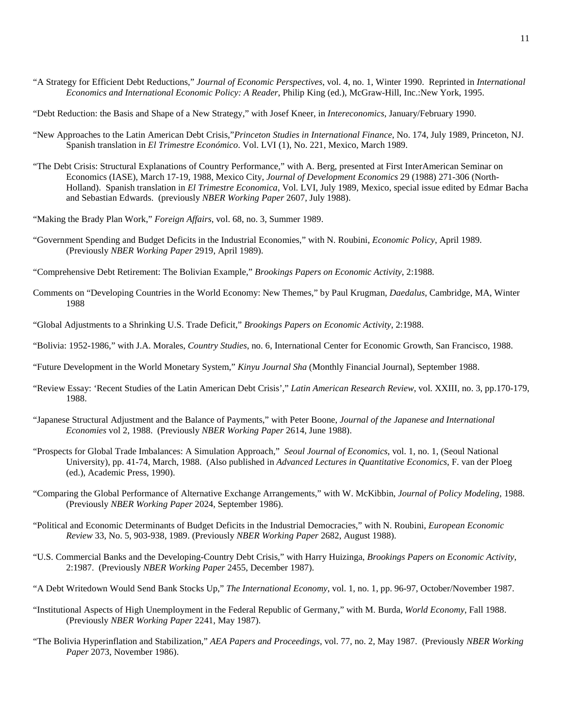- "A Strategy for Efficient Debt Reductions," *Journal of Economic Perspectives*, vol. 4, no. 1, Winter 1990. Reprinted in *International Economics and International Economic Policy: A Reader*, Philip King (ed.), McGraw-Hill, Inc.:New York, 1995.
- "Debt Reduction: the Basis and Shape of a New Strategy," with Josef Kneer, in *Intereconomics*, January/February 1990.
- "New Approaches to the Latin American Debt Crisis,"*Princeton Studies in International Finance*, No. 174, July 1989, Princeton, NJ. Spanish translation in *El Trimestre Económico*. Vol. LVI (1), No. 221, Mexico, March 1989.
- "The Debt Crisis: Structural Explanations of Country Performance," with A. Berg, presented at First InterAmerican Seminar on Economics (IASE), March 17-19, 1988, Mexico City, *Journal of Development Economics* 29 (1988) 271-306 (North-Holland). Spanish translation in *El Trimestre Economica*, Vol. LVI, July 1989, Mexico, special issue edited by Edmar Bacha and Sebastian Edwards. (previously *NBER Working Paper* 2607, July 1988).
- "Making the Brady Plan Work," *Foreign Affairs*, vol. 68, no. 3, Summer 1989.
- "Government Spending and Budget Deficits in the Industrial Economies," with N. Roubini, *Economic Policy*, April 1989. (Previously *NBER Working Paper* 2919, April 1989).
- "Comprehensive Debt Retirement: The Bolivian Example," *Brookings Papers on Economic Activity*, 2:1988.
- Comments on "Developing Countries in the World Economy: New Themes," by Paul Krugman, *Daedalus*, Cambridge, MA, Winter 1988
- "Global Adjustments to a Shrinking U.S. Trade Deficit," *Brookings Papers on Economic Activity*, 2:1988.
- "Bolivia: 1952-1986," with J.A. Morales, *Country Studies*, no. 6, International Center for Economic Growth, San Francisco, 1988.
- "Future Development in the World Monetary System," *Kinyu Journal Sha* (Monthly Financial Journal), September 1988.
- "Review Essay: 'Recent Studies of the Latin American Debt Crisis'," *Latin American Research Review*, vol. XXIII, no. 3, pp.170-179, 1988.
- "Japanese Structural Adjustment and the Balance of Payments," with Peter Boone, *Journal of the Japanese and International Economies* vol 2, 1988. (Previously *NBER Working Paper* 2614, June 1988).
- "Prospects for Global Trade Imbalances: A Simulation Approach," *Seoul Journal of Economics*, vol. 1, no. 1, (Seoul National University), pp. 41-74, March, 1988. (Also published in *Advanced Lectures in Quantitative Economics*, F. van der Ploeg (ed.), Academic Press, 1990).
- "Comparing the Global Performance of Alternative Exchange Arrangements," with W. McKibbin, *Journal of Policy Modeling,* 1988. (Previously *NBER Working Paper* 2024, September 1986).
- "Political and Economic Determinants of Budget Deficits in the Industrial Democracies," with N. Roubini, *European Economic Review* 33, No. 5, 903-938, 1989. (Previously *NBER Working Paper* 2682, August 1988).
- "U.S. Commercial Banks and the Developing-Country Debt Crisis," with Harry Huizinga, *Brookings Papers on Economic Activity*, 2:1987. (Previously *NBER Working Paper* 2455, December 1987).
- "A Debt Writedown Would Send Bank Stocks Up," *The International Economy*, vol. 1, no. 1, pp. 96-97, October/November 1987.
- "Institutional Aspects of High Unemployment in the Federal Republic of Germany," with M. Burda, *World Economy*, Fall 1988. (Previously *NBER Working Paper* 2241, May 1987).
- "The Bolivia Hyperinflation and Stabilization," *AEA Papers and Proceedings*, vol. 77, no. 2, May 1987. (Previously *NBER Working Paper* 2073, November 1986).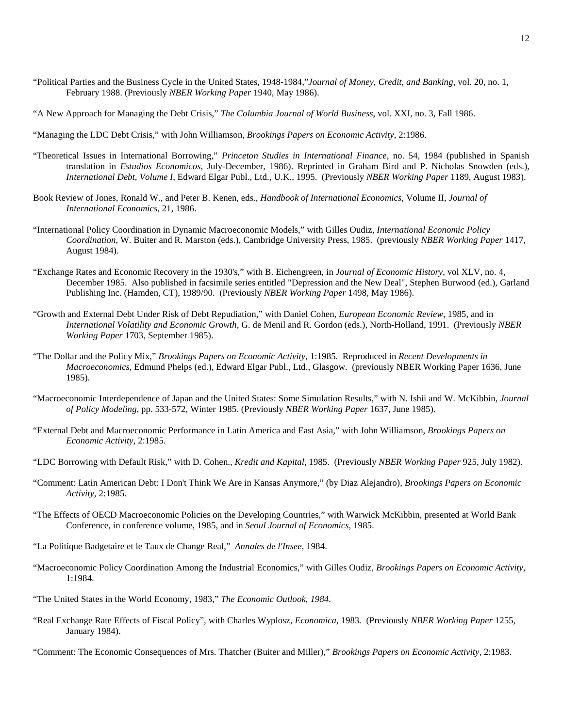- "Political Parties and the Business Cycle in the United States, 1948-1984,"*Journal of Money, Credit, and Banking,* vol. 20, no. 1, February 1988. (Previously *NBER Working Paper* 1940, May 1986).
- "A New Approach for Managing the Debt Crisis," *The Columbia Journal of World Business*, vol. XXI, no. 3, Fall 1986.
- "Managing the LDC Debt Crisis," with John Williamson, *Brookings Papers on Economic Activity*, 2:1986.
- "Theoretical Issues in International Borrowing," *Princeton Studies in International Finance*, no. 54, 1984 (published in Spanish translation in *Estudios Economicos*, July-December, 1986). Reprinted in Graham Bird and P. Nicholas Snowden (eds.), *International Debt, Volume I*, Edward Elgar Publ., Ltd., U.K., 1995. (Previously *NBER Working Paper* 1189, August 1983).
- Book Review of Jones, Ronald W., and Peter B. Kenen, eds., *Handbook of International Economics*, Volume II, *Journal of International Economics*, 21, 1986.
- "International Policy Coordination in Dynamic Macroeconomic Models," with Gilles Oudiz, *International Economic Policy Coordination*, W. Buiter and R. Marston (eds.), Cambridge University Press, 1985. (previously *NBER Working Paper* 1417, August 1984).
- "Exchange Rates and Economic Recovery in the 1930's," with B. Eichengreen, in *Journal of Economic History*, vol XLV, no. 4, December 1985. Also published in facsimile series entitled "Depression and the New Deal", Stephen Burwood (ed.), Garland Publishing Inc. (Hamden, CT), 1989/90. (Previously *NBER Working Paper* 1498, May 1986).
- "Growth and External Debt Under Risk of Debt Repudiation," with Daniel Cohen, *European Economic Review*, 1985, and in *International Volatility and Economic Growth*, G. de Menil and R. Gordon (eds.), North-Holland, 1991. (Previously *NBER Working Paper* 1703, September 1985).
- "The Dollar and the Policy Mix," *Brookings Papers on Economic Activity*, 1:1985. Reproduced in *Recent Developments in Macroeconomics*, Edmund Phelps (ed.), Edward Elgar Publ., Ltd., Glasgow. (previously NBER Working Paper 1636, June 1985).
- "Macroeconomic Interdependence of Japan and the United States: Some Simulation Results," with N. Ishii and W. McKibbin, *Journal of Policy Modeling*, pp. 533-572, Winter 1985. (Previously *NBER Working Paper* 1637, June 1985).
- "External Debt and Macroeconomic Performance in Latin America and East Asia," with John Williamson, *Brookings Papers on Economic Activity*, 2:1985.
- "LDC Borrowing with Default Risk," with D. Cohen., *Kredit and Kapital,* 1985. (Previously *NBER Working Paper* 925, July 1982).
- "Comment: Latin American Debt: I Don't Think We Are in Kansas Anymore," (by Diaz Alejandro), *Brookings Papers on Economic Activity*, 2:1985.
- "The Effects of OECD Macroeconomic Policies on the Developing Countries," with Warwick McKibbin, presented at World Bank Conference, in conference volume, 1985, and in *Seoul Journal of Economics*, 1985.
- "La Politique Badgetaire et le Taux de Change Real," *Annales de l'Insee*, 1984.
- "Macroeconomic Policy Coordination Among the Industrial Economics," with Gilles Oudiz, *Brookings Papers on Economic Activity*, 1:1984.
- "The United States in the World Economy, 1983," *The Economic Outlook, 1984*.
- "Real Exchange Rate Effects of Fiscal Policy", with Charles Wyplosz, *Economica,* 1983*.* (Previously *NBER Working Paper* 1255, January 1984).
- "Comment: The Economic Consequences of Mrs. Thatcher (Buiter and Miller)," *Brookings Papers on Economic Activity*, 2:1983.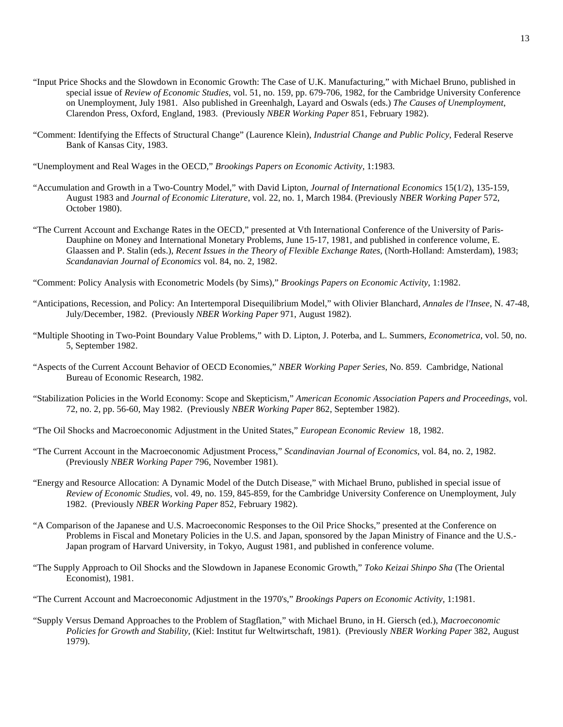- "Input Price Shocks and the Slowdown in Economic Growth: The Case of U.K. Manufacturing," with Michael Bruno, published in special issue of *Review of Economic Studies*, vol. 51, no. 159, pp. 679-706, 1982, for the Cambridge University Conference on Unemployment, July 1981. Also published in Greenhalgh, Layard and Oswals (eds.) *The Causes of Unemployment*, Clarendon Press, Oxford, England, 1983. (Previously *NBER Working Paper* 851, February 1982).
- "Comment: Identifying the Effects of Structural Change" (Laurence Klein), *Industrial Change and Public Policy*, Federal Reserve Bank of Kansas City, 1983.
- "Unemployment and Real Wages in the OECD," *Brookings Papers on Economic Activity*, 1:1983.
- "Accumulation and Growth in a Two-Country Model," with David Lipton, *Journal of International Economics* 15(1/2), 135-159, August 1983 and *Journal of Economic Literature*, vol. 22, no. 1, March 1984. (Previously *NBER Working Paper* 572, October 1980).
- "The Current Account and Exchange Rates in the OECD," presented at Vth International Conference of the University of Paris-Dauphine on Money and International Monetary Problems, June 15-17, 1981, and published in conference volume, E. Glaassen and P. Stalin (eds.), *Recent Issues in the Theory of Flexible Exchange Rates,* (North-Holland: Amsterdam), 1983; *Scandanavian Journal of Economics* vol. 84, no. 2, 1982.
- "Comment: Policy Analysis with Econometric Models (by Sims)," *Brookings Papers on Economic Activity*, 1:1982.
- "Anticipations, Recession, and Policy: An Intertemporal Disequilibrium Model," with Olivier Blanchard, *Annales de l'Insee*, N. 47-48, July/December, 1982. (Previously *NBER Working Paper* 971, August 1982).
- "Multiple Shooting in Two-Point Boundary Value Problems," with D. Lipton, J. Poterba, and L. Summers, *Econometrica*, vol. 50, no. 5, September 1982.
- "Aspects of the Current Account Behavior of OECD Economies," *NBER Working Paper Series*, No. 859. Cambridge, National Bureau of Economic Research, 1982.
- "Stabilization Policies in the World Economy: Scope and Skepticism," *American Economic Association Papers and Proceedings*, vol. 72, no. 2, pp. 56-60, May 1982. (Previously *NBER Working Paper* 862, September 1982).
- "The Oil Shocks and Macroeconomic Adjustment in the United States," *European Economic Review* 18, 1982.
- "The Current Account in the Macroeconomic Adjustment Process," *Scandinavian Journal of Economics*, vol. 84, no. 2, 1982. (Previously *NBER Working Paper* 796, November 1981).
- "Energy and Resource Allocation: A Dynamic Model of the Dutch Disease," with Michael Bruno, published in special issue of *Review of Economic Studies*, vol. 49, no. 159, 845-859, for the Cambridge University Conference on Unemployment, July 1982. (Previously *NBER Working Paper* 852, February 1982).
- "A Comparison of the Japanese and U.S. Macroeconomic Responses to the Oil Price Shocks," presented at the Conference on Problems in Fiscal and Monetary Policies in the U.S. and Japan, sponsored by the Japan Ministry of Finance and the U.S.- Japan program of Harvard University, in Tokyo, August 1981, and published in conference volume.
- "The Supply Approach to Oil Shocks and the Slowdown in Japanese Economic Growth," *Toko Keizai Shinpo Sha* (The Oriental Economist), 1981.
- "The Current Account and Macroeconomic Adjustment in the 1970's," *Brookings Papers on Economic Activity*, 1:1981.
- "Supply Versus Demand Approaches to the Problem of Stagflation," with Michael Bruno, in H. Giersch (ed.), *Macroeconomic Policies for Growth and Stability*, (Kiel: Institut fur Weltwirtschaft, 1981). (Previously *NBER Working Paper* 382, August 1979).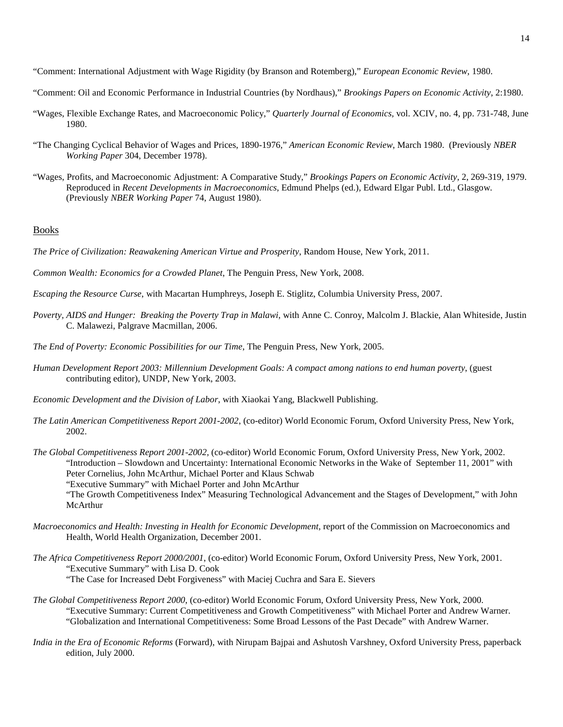"Comment: International Adjustment with Wage Rigidity (by Branson and Rotemberg)," *European Economic Review,* 1980.

- "Comment: Oil and Economic Performance in Industrial Countries (by Nordhaus)," *Brookings Papers on Economic Activity*, 2:1980.
- "Wages, Flexible Exchange Rates, and Macroeconomic Policy," *Quarterly Journal of Economics,* vol. XCIV, no. 4, pp. 731-748, June 1980.
- "The Changing Cyclical Behavior of Wages and Prices, 1890-1976," *American Economic Review*, March 1980. (Previously *NBER Working Paper* 304, December 1978).
- "Wages, Profits, and Macroeconomic Adjustment: A Comparative Study," *Brookings Papers on Economic Activity,* 2, 269-319, 1979. Reproduced in *Recent Developments in Macroeconomics*, Edmund Phelps (ed.), Edward Elgar Publ. Ltd., Glasgow. (Previously *NBER Working Paper* 74, August 1980).

#### **Books**

- *The Price of Civilization: Reawakening American Virtue and Prosperity*, Random House, New York, 2011.
- *Common Wealth: Economics for a Crowded Planet*, The Penguin Press, New York, 2008.
- *Escaping the Resource Curse*, with Macartan Humphreys, Joseph E. Stiglitz, Columbia University Press, 2007.
- *Poverty, AIDS and Hunger: Breaking the Poverty Trap in Malawi*, with Anne C. Conroy, Malcolm J. Blackie, Alan Whiteside, Justin C. Malawezi, Palgrave Macmillan, 2006.
- *The End of Poverty: Economic Possibilities for our Time*, The Penguin Press, New York, 2005.
- *Human Development Report 2003: Millennium Development Goals: A compact among nations to end human poverty*, (guest contributing editor), UNDP, New York, 2003.
- *Economic Development and the Division of Labor*, with Xiaokai Yang, Blackwell Publishing.
- *The Latin American Competitiveness Report 2001-2002*, (co-editor) World Economic Forum, Oxford University Press, New York, 2002.
- *The Global Competitiveness Report 2001-2002,* (co-editor) World Economic Forum, Oxford University Press, New York, 2002. "Introduction – Slowdown and Uncertainty: International Economic Networks in the Wake of September 11, 2001" with Peter Cornelius, John McArthur, Michael Porter and Klaus Schwab "Executive Summary" with Michael Porter and John McArthur "The Growth Competitiveness Index" Measuring Technological Advancement and the Stages of Development," with John
	- McArthur
- *Macroeconomics and Health: Investing in Health for Economic Development*, report of the Commission on Macroeconomics and Health, World Health Organization, December 2001.
- *The Africa Competitiveness Report 2000/2001*, (co-editor) World Economic Forum, Oxford University Press, New York, 2001. "Executive Summary" with Lisa D. Cook

"The Case for Increased Debt Forgiveness" with Maciej Cuchra and Sara E. Sievers

- *The Global Competitiveness Report 2000*, (co-editor) World Economic Forum, Oxford University Press, New York, 2000. "Executive Summary: Current Competitiveness and Growth Competitiveness" with Michael Porter and Andrew Warner. "Globalization and International Competitiveness: Some Broad Lessons of the Past Decade" with Andrew Warner.
- *India in the Era of Economic Reforms* (Forward), with Nirupam Bajpai and Ashutosh Varshney, Oxford University Press, paperback edition, July 2000.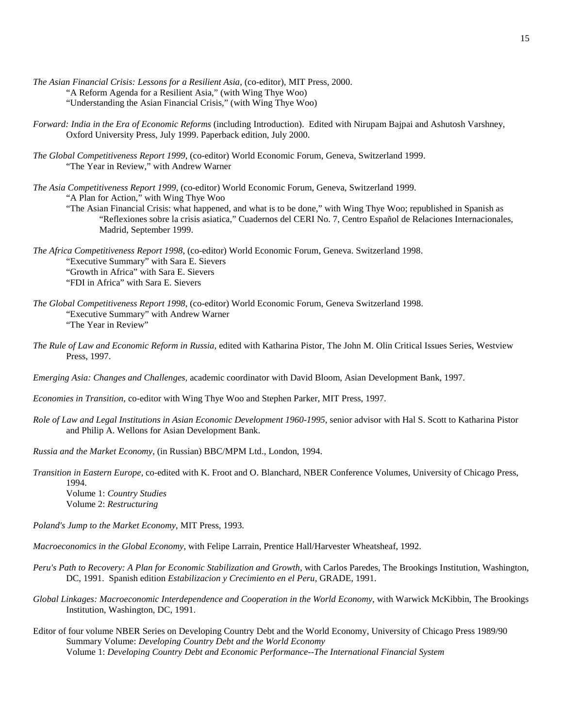- *The Asian Financial Crisis: Lessons for a Resilient Asia*, (co-editor), MIT Press, 2000. "A Reform Agenda for a Resilient Asia," (with Wing Thye Woo) "Understanding the Asian Financial Crisis," (with Wing Thye Woo)
- *Forward: India in the Era of Economic Reforms* (including Introduction). Edited with Nirupam Bajpai and Ashutosh Varshney, Oxford University Press, July 1999. Paperback edition, July 2000.
- *The Global Competitiveness Report 1999*, (co-editor) World Economic Forum, Geneva, Switzerland 1999. "The Year in Review," with Andrew Warner
- *The Asia Competitiveness Report 1999*, (co-editor) World Economic Forum, Geneva, Switzerland 1999. "A Plan for Action," with Wing Thye Woo

"The Asian Financial Crisis: what happened, and what is to be done," with Wing Thye Woo; republished in Spanish as "Reflexiones sobre la crisis asiatica," Cuadernos del CERI No. 7, Centro Español de Relaciones Internacionales, Madrid, September 1999.

- *The Africa Competitiveness Report 1998*, (co-editor) World Economic Forum, Geneva. Switzerland 1998. "Executive Summary" with Sara E. Sievers "Growth in Africa" with Sara E. Sievers "FDI in Africa" with Sara E. Sievers
- *The Global Competitiveness Report 1998*, (co-editor) World Economic Forum, Geneva Switzerland 1998. "Executive Summary" with Andrew Warner "The Year in Review"
- *The Rule of Law and Economic Reform in Russia*, edited with Katharina Pistor, The John M. Olin Critical Issues Series, Westview Press, 1997.

*Emerging Asia: Changes and Challenges,* academic coordinator with David Bloom, Asian Development Bank, 1997.

*Economies in Transition*, co-editor with Wing Thye Woo and Stephen Parker, MIT Press, 1997.

*Role of Law and Legal Institutions in Asian Economic Development 1960-1995*, senior advisor with Hal S. Scott to Katharina Pistor and Philip A. Wellons for Asian Development Bank.

*Russia and the Market Economy*, (in Russian) BBC/MPM Ltd., London, 1994.

*Transition in Eastern Europe*, co-edited with K. Froot and O. Blanchard, NBER Conference Volumes, University of Chicago Press, 1994.

Volume 1: *Country Studies* Volume 2: *Restructuring*

*Poland's Jump to the Market Economy*, MIT Press, 1993.

*Macroeconomics in the Global Economy*, with Felipe Larrain, Prentice Hall/Harvester Wheatsheaf, 1992.

- *Peru's Path to Recovery: A Plan for Economic Stabilization and Growth*, with Carlos Paredes, The Brookings Institution, Washington, DC, 1991. Spanish edition *Estabilizacion y Crecimiento en el Peru*, GRADE, 1991.
- *Global Linkages: Macroeconomic Interdependence and Cooperation in the World Economy*, with Warwick McKibbin, The Brookings Institution, Washington, DC, 1991.
- Editor of four volume NBER Series on Developing Country Debt and the World Economy, University of Chicago Press 1989/90 Summary Volume: *Developing Country Debt and the World Economy* Volume 1: *Developing Country Debt and Economic Performance--The International Financial System*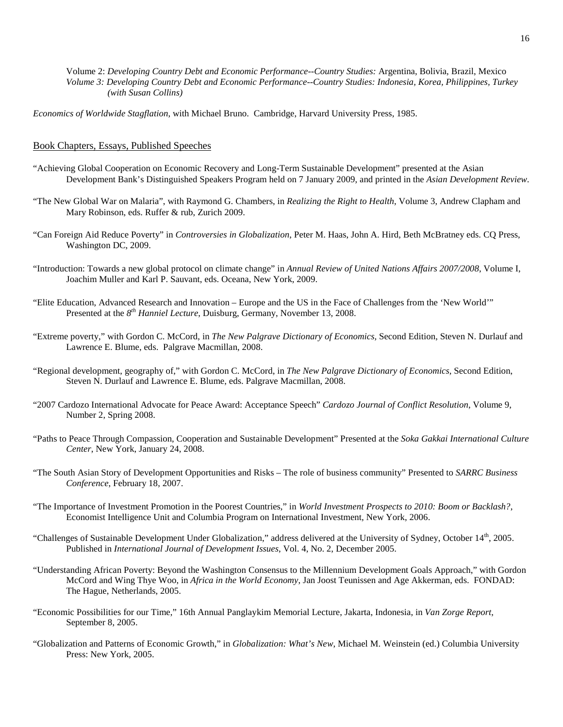Volume 2: *Developing Country Debt and Economic Performance--Country Studies:* Argentina, Bolivia, Brazil, Mexico *Volume 3: Developing Country Debt and Economic Performance--Country Studies: Indonesia, Korea, Philippines, Turkey (with Susan Collins)*

*Economics of Worldwide Stagflation*, with Michael Bruno. Cambridge, Harvard University Press, 1985.

## Book Chapters, Essays, Published Speeches

- "Achieving Global Cooperation on Economic Recovery and Long-Term Sustainable Development" presented at the Asian Development Bank's Distinguished Speakers Program held on 7 January 2009, and printed in the *Asian Development Review*.
- "The New Global War on Malaria", with Raymond G. Chambers, in *Realizing the Right to Health*, Volume 3, Andrew Clapham and Mary Robinson, eds. Ruffer & rub, Zurich 2009.
- "Can Foreign Aid Reduce Poverty" in *Controversies in Globalization*, Peter M. Haas, John A. Hird, Beth McBratney eds. CQ Press, Washington DC, 2009.
- "Introduction: Towards a new global protocol on climate change" in *Annual Review of United Nations Affairs 2007/2008*, Volume I, Joachim Muller and Karl P. Sauvant, eds. Oceana, New York, 2009.
- "Elite Education, Advanced Research and Innovation Europe and the US in the Face of Challenges from the 'New World'" Presented at the *8th Hanniel Lecture*, Duisburg, Germany, November 13, 2008.
- ["Extreme poverty,"](http://www.dictionaryofeconomics.com/article?id=pde2008_E000293) with Gordon C. McCord, in *The New Palgrave Dictionary of Economics,* Second Edition, Steven N. Durlauf and Lawrence E. Blume, eds. Palgrave Macmillan, 2008.
- ["Regional development, geography of,](http://www.dictionaryofeconomics.com/article?id=pde2008_R000077)" with Gordon C. McCord, in *The New Palgrave Dictionary of Economics,* Second Edition, Steven N. Durlauf and Lawrence E. Blume, eds. Palgrave Macmillan, 2008.
- "2007 Cardozo International Advocate for Peace Award: Acceptance Speech" *Cardozo Journal of Conflict Resolution*, Volume 9, Number 2, Spring 2008.
- "Paths to Peace Through Compassion, Cooperation and Sustainable Development" Presented at the *Soka Gakkai International Culture Center*, New York, January 24, 2008.
- "The South Asian Story of Development Opportunities and Risks The role of business community" Presented to *SARRC Business Conference*, February 18, 2007.
- "The Importance of Investment Promotion in the Poorest Countries," in *World Investment Prospects to 2010: Boom or Backlash?*, Economist Intelligence Unit and Columbia Program on International Investment, New York, 2006.
- "Challenges of Sustainable Development Under Globalization," address delivered at the University of Sydney, October  $14^{\text{th}}$ , 2005. Published in *International Journal of Development Issues*, Vol. 4, No. 2, December 2005.
- "Understanding African Poverty: Beyond the Washington Consensus to the Millennium Development Goals Approach," with Gordon McCord and Wing Thye Woo, in *Africa in the World Economy*, Jan Joost Teunissen and Age Akkerman, eds. FONDAD: The Hague, Netherlands, 2005.
- "Economic Possibilities for our Time," 16th Annual Panglaykim Memorial Lecture, Jakarta, Indonesia, in *Van Zorge Report*, September 8, 2005.
- "Globalization and Patterns of Economic Growth," in *Globalization: What's New*, Michael M. Weinstein (ed.) Columbia University Press: New York, 2005.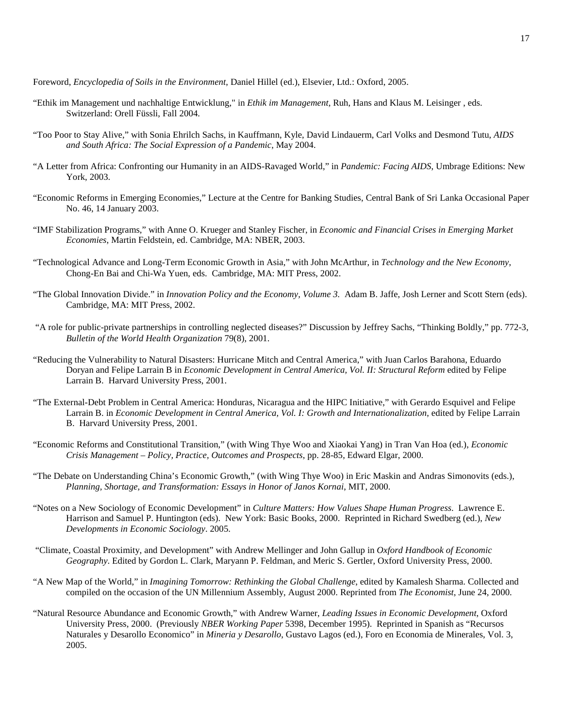Foreword, *Encyclopedia of Soils in the Environment*, Daniel Hillel (ed.), Elsevier, Ltd.: Oxford, 2005.

- "Ethik im Management und nachhaltige Entwicklung," in *Ethik im Management,* Ruh, Hans and Klaus M. Leisinger , eds. Switzerland: Orell Füssli, Fall 2004.
- "Too Poor to Stay Alive," with Sonia Ehrilch Sachs, in Kauffmann, Kyle, David Lindauerm, Carl Volks and Desmond Tutu, *AIDS and South Africa: The Social Expression of a Pandemic*, May 2004.
- "A Letter from Africa: Confronting our Humanity in an AIDS-Ravaged World," in *Pandemic: Facing AIDS*, Umbrage Editions: New York, 2003.
- "Economic Reforms in Emerging Economies," Lecture at the Centre for Banking Studies, Central Bank of Sri Lanka Occasional Paper No. 46, 14 January 2003.
- "IMF Stabilization Programs," with Anne O. Krueger and Stanley Fischer, in *Economic and Financial Crises in Emerging Market Economies*, Martin Feldstein, ed. Cambridge, MA: NBER, 2003.
- "Technological Advance and Long-Term Economic Growth in Asia," with John McArthur, in *Technology and the New Economy*, Chong-En Bai and Chi-Wa Yuen, eds. Cambridge, MA: MIT Press, 2002.
- "The Global Innovation Divide." in *Innovation Policy and the Economy, Volume 3.* Adam B. Jaffe, Josh Lerner and Scott Stern (eds). Cambridge, MA: MIT Press, 2002.
- "A role for public-private partnerships in controlling neglected diseases?" Discussion by Jeffrey Sachs, "Thinking Boldly," pp. 772-3, *Bulletin of the World Health Organization* 79(8), 2001.
- "Reducing the Vulnerability to Natural Disasters: Hurricane Mitch and Central America," with Juan Carlos Barahona, Eduardo Doryan and Felipe Larrain B in *Economic Development in Central America, Vol. II: Structural Reform* edited by Felipe Larrain B. Harvard University Press, 2001.
- "The External-Debt Problem in Central America: Honduras, Nicaragua and the HIPC Initiative," with Gerardo Esquivel and Felipe Larrain B. in *Economic Development in Central America, Vol. I: Growth and Internationalization*, edited by Felipe Larrain B. Harvard University Press, 2001.
- "Economic Reforms and Constitutional Transition," (with Wing Thye Woo and Xiaokai Yang) in Tran Van Hoa (ed.), *Economic Crisis Management – Policy, Practice, Outcomes and Prospects*, pp. 28-85, Edward Elgar, 2000.
- "The Debate on Understanding China's Economic Growth," (with Wing Thye Woo) in Eric Maskin and Andras Simonovits (eds.), *Planning, Shortage, and Transformation: Essays in Honor of Janos Kornai*, MIT, 2000.
- "Notes on a New Sociology of Economic Development" in *Culture Matters: How Values Shape Human Progress*. Lawrence E. Harrison and Samuel P. Huntington (eds). New York: Basic Books, 2000. Reprinted in Richard Swedberg (ed.), *New Developments in Economic Sociology*. 2005.
- "Climate, Coastal Proximity, and Development" with Andrew Mellinger and John Gallup in *Oxford Handbook of Economic Geography*. Edited by Gordon L. Clark, Maryann P. Feldman, and Meric S. Gertler, Oxford University Press, 2000.
- "A New Map of the World," in *Imagining Tomorrow: Rethinking the Global Challenge*, edited by Kamalesh Sharma. Collected and compiled on the occasion of the UN Millennium Assembly, August 2000. Reprinted from *The Economist*, June 24, 2000.
- "Natural Resource Abundance and Economic Growth," with Andrew Warner, *Leading Issues in Economic Development*, Oxford University Press, 2000. (Previously *NBER Working Paper* 5398, December 1995). Reprinted in Spanish as "Recursos Naturales y Desarollo Economico" in *Mineria y Desarollo*, Gustavo Lagos (ed.), Foro en Economia de Minerales, Vol. 3, 2005.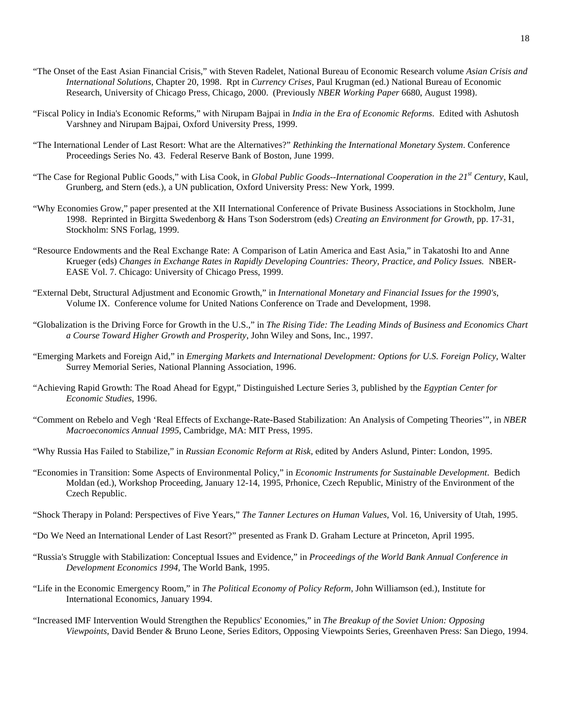- "The Onset of the East Asian Financial Crisis," with Steven Radelet, National Bureau of Economic Research volume *Asian Crisis and International Solutions*, Chapter 20, 1998. Rpt in *Currency Crises*, Paul Krugman (ed.) National Bureau of Economic Research, University of Chicago Press, Chicago, 2000. (Previously *NBER Working Paper* 6680, August 1998).
- "Fiscal Policy in India's Economic Reforms," with Nirupam Bajpai in *India in the Era of Economic Reforms*. Edited with Ashutosh Varshney and Nirupam Bajpai, Oxford University Press, 1999.
- "The International Lender of Last Resort: What are the Alternatives?" *Rethinking the International Monetary System*. Conference Proceedings Series No. 43. Federal Reserve Bank of Boston, June 1999.
- "The Case for Regional Public Goods," with Lisa Cook, in *Global Public Goods--International Cooperation in the 21st Century*, Kaul, Grunberg, and Stern (eds.), a UN publication, Oxford University Press: New York, 1999.
- "Why Economies Grow," paper presented at the XII International Conference of Private Business Associations in Stockholm, June 1998. Reprinted in Birgitta Swedenborg & Hans Tson Soderstrom (eds) *Creating an Environment for Growth,* pp. 17-31, Stockholm: SNS Forlag, 1999.
- "Resource Endowments and the Real Exchange Rate: A Comparison of Latin America and East Asia," in Takatoshi Ito and Anne Krueger (eds) *Changes in Exchange Rates in Rapidly Developing Countries: Theory, Practice, and Policy Issues.* NBER-EASE Vol. 7. Chicago: University of Chicago Press, 1999.
- "External Debt, Structural Adjustment and Economic Growth," in *International Monetary and Financial Issues for the 1990's*, Volume IX. Conference volume for United Nations Conference on Trade and Development, 1998.
- "Globalization is the Driving Force for Growth in the U.S.," in *The Rising Tide: The Leading Minds of Business and Economics Chart a Course Toward Higher Growth and Prosperity*, John Wiley and Sons, Inc., 1997.
- "Emerging Markets and Foreign Aid," in *Emerging Markets and International Development: Options for U.S. Foreign Policy,* Walter Surrey Memorial Series, National Planning Association, 1996.
- "Achieving Rapid Growth: The Road Ahead for Egypt," Distinguished Lecture Series 3, published by the *Egyptian Center for Economic Studies*, 1996.
- "Comment on Rebelo and Vegh 'Real Effects of Exchange-Rate-Based Stabilization: An Analysis of Competing Theories'", in *NBER Macroeconomics Annual 1995*, Cambridge, MA: MIT Press, 1995.
- "Why Russia Has Failed to Stabilize," in *Russian Economic Reform at Risk*, edited by Anders Aslund, Pinter: London, 1995.
- "Economies in Transition: Some Aspects of Environmental Policy," in *Economic Instruments for Sustainable Development*. Bedich Moldan (ed.), Workshop Proceeding, January 12-14, 1995, Prhonice, Czech Republic, Ministry of the Environment of the Czech Republic.
- "Shock Therapy in Poland: Perspectives of Five Years," *The Tanner Lectures on Human Values*, Vol. 16, University of Utah, 1995.
- "Do We Need an International Lender of Last Resort?" presented as Frank D. Graham Lecture at Princeton, April 1995.
- "Russia's Struggle with Stabilization: Conceptual Issues and Evidence," in *Proceedings of the World Bank Annual Conference in Development Economics 1994,* The World Bank, 1995.
- "Life in the Economic Emergency Room," in *The Political Economy of Policy Reform*, John Williamson (ed.), Institute for International Economics, January 1994.
- "Increased IMF Intervention Would Strengthen the Republics' Economies," in *The Breakup of the Soviet Union: Opposing Viewpoints*, David Bender & Bruno Leone, Series Editors, Opposing Viewpoints Series, Greenhaven Press: San Diego, 1994.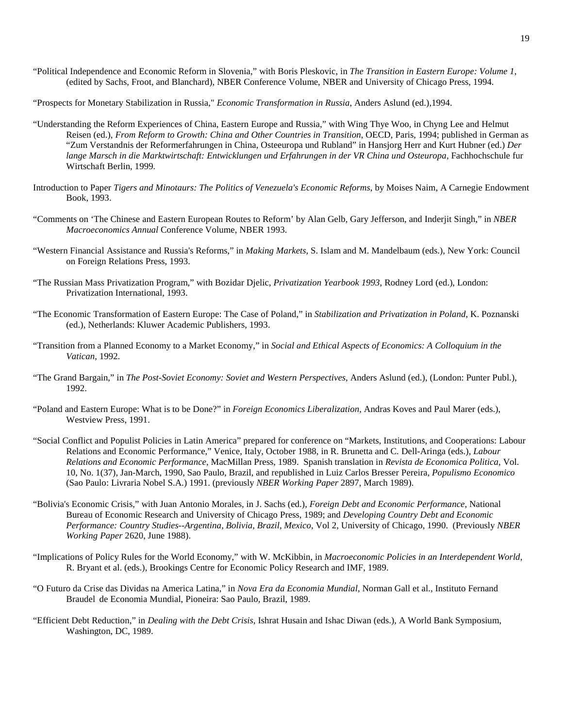- "Political Independence and Economic Reform in Slovenia," with Boris Pleskovic, in *The Transition in Eastern Europe: Volume 1*, (edited by Sachs, Froot, and Blanchard), NBER Conference Volume, NBER and University of Chicago Press, 1994.
- "Prospects for Monetary Stabilization in Russia," *Economic Transformation in Russia*, Anders Aslund (ed.),1994.
- "Understanding the Reform Experiences of China, Eastern Europe and Russia," with Wing Thye Woo, in Chyng Lee and Helmut Reisen (ed.), *From Reform to Growth: China and Other Countries in Transition*, OECD, Paris, 1994; published in German as "Zum Verstandnis der Reformerfahrungen in China, Osteeuropa und Rubland" in Hansjorg Herr and Kurt Hubner (ed.) *Der*  lange Marsch in die Marktwirtschaft: Entwicklungen und Erfahrungen in der VR China und Osteuropa, Fachhochschule fur Wirtschaft Berlin, 1999*.*
- Introduction to Paper *Tigers and Minotaurs: The Politics of Venezuela's Economic Reforms*, by Moises Naim, A Carnegie Endowment Book, 1993.
- "Comments on 'The Chinese and Eastern European Routes to Reform' by Alan Gelb, Gary Jefferson, and Inderjit Singh," in *NBER Macroeconomics Annual* Conference Volume, NBER 1993.
- "Western Financial Assistance and Russia's Reforms," in *Making Markets*, S. Islam and M. Mandelbaum (eds.), New York: Council on Foreign Relations Press, 1993.
- "The Russian Mass Privatization Program," with Bozidar Djelic, *Privatization Yearbook 1993*, Rodney Lord (ed.), London: Privatization International, 1993.
- "The Economic Transformation of Eastern Europe: The Case of Poland," in *Stabilization and Privatization in Poland*, K. Poznanski (ed.), Netherlands: Kluwer Academic Publishers, 1993.
- "Transition from a Planned Economy to a Market Economy," in *Social and Ethical Aspects of Economics: A Colloquium in the Vatican*, 1992.
- "The Grand Bargain," in *The Post-Soviet Economy: Soviet and Western Perspectives*, Anders Aslund (ed.), (London: Punter Publ.), 1992.
- "Poland and Eastern Europe: What is to be Done?" in *Foreign Economics Liberalization*, Andras Koves and Paul Marer (eds.), Westview Press, 1991.
- "Social Conflict and Populist Policies in Latin America" prepared for conference on "Markets, Institutions, and Cooperations: Labour Relations and Economic Performance," Venice, Italy, October 1988, in R. Brunetta and C. Dell-Aringa (eds.), *Labour Relations and Economic Performance*, MacMillan Press, 1989. Spanish translation in *Revista de Economica Politica*, Vol. 10, No. 1(37), Jan-March, 1990, Sao Paulo, Brazil, and republished in Luiz Carlos Bresser Pereira, *Populismo Economico* (Sao Paulo: Livraria Nobel S.A.) 1991. (previously *NBER Working Paper* 2897, March 1989).
- "Bolivia's Economic Crisis," with Juan Antonio Morales, in J. Sachs (ed.), *Foreign Debt and Economic Performance*, National Bureau of Economic Research and University of Chicago Press, 1989; and *Developing Country Debt and Economic Performance: Country Studies--Argentina, Bolivia, Brazil, Mexico*, Vol 2, University of Chicago, 1990. (Previously *NBER Working Paper* 2620, June 1988).
- "Implications of Policy Rules for the World Economy," with W. McKibbin, in *Macroeconomic Policies in an Interdependent World*, R. Bryant et al. (eds.), Brookings Centre for Economic Policy Research and IMF, 1989.
- "O Futuro da Crise das Dividas na America Latina," in *Nova Era da Economia Mundial*, Norman Gall et al., Instituto Fernand Braudel de Economia Mundial, Pioneira: Sao Paulo, Brazil, 1989.
- "Efficient Debt Reduction," in *Dealing with the Debt Crisis*, Ishrat Husain and Ishac Diwan (eds.), A World Bank Symposium, Washington, DC, 1989.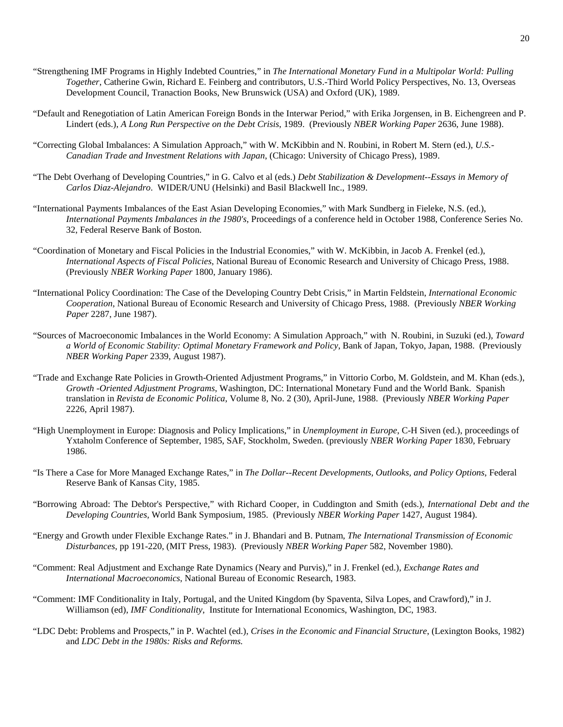- "Strengthening IMF Programs in Highly Indebted Countries," in *The International Monetary Fund in a Multipolar World: Pulling Together*, Catherine Gwin, Richard E. Feinberg and contributors, U.S.-Third World Policy Perspectives, No. 13, Overseas Development Council, Tranaction Books, New Brunswick (USA) and Oxford (UK), 1989.
- "Default and Renegotiation of Latin American Foreign Bonds in the Interwar Period," with Erika Jorgensen, in B. Eichengreen and P. Lindert (eds.), *A Long Run Perspective on the Debt Crisis*, 1989. (Previously *NBER Working Paper* 2636, June 1988).
- "Correcting Global Imbalances: A Simulation Approach," with W. McKibbin and N. Roubini, in Robert M. Stern (ed.), *U.S.- Canadian Trade and Investment Relations with Japan*, (Chicago: University of Chicago Press), 1989.
- "The Debt Overhang of Developing Countries," in G. Calvo et al (eds.) *Debt Stabilization & Development--Essays in Memory of Carlos Diaz-Alejandro*. WIDER/UNU (Helsinki) and Basil Blackwell Inc., 1989.
- "International Payments Imbalances of the East Asian Developing Economies," with Mark Sundberg in Fieleke, N.S. (ed.), *International Payments Imbalances in the 1980's*, Proceedings of a conference held in October 1988, Conference Series No. 32, Federal Reserve Bank of Boston.
- "Coordination of Monetary and Fiscal Policies in the Industrial Economies," with W. McKibbin, in Jacob A. Frenkel (ed.), *International Aspects of Fiscal Policies*, National Bureau of Economic Research and University of Chicago Press, 1988. (Previously *NBER Working Paper* 1800, January 1986).
- "International Policy Coordination: The Case of the Developing Country Debt Crisis," in Martin Feldstein, *International Economic Cooperation*, National Bureau of Economic Research and University of Chicago Press, 1988. (Previously *NBER Working Paper* 2287, June 1987).
- "Sources of Macroeconomic Imbalances in the World Economy: A Simulation Approach," with N. Roubini, in Suzuki (ed.), *Toward a World of Economic Stability: Optimal Monetary Framework and Policy*, Bank of Japan, Tokyo, Japan, 1988. (Previously *NBER Working Paper* 2339, August 1987).
- "Trade and Exchange Rate Policies in Growth-Oriented Adjustment Programs," in Vittorio Corbo, M. Goldstein, and M. Khan (eds.), *Growth -Oriented Adjustment Programs*, Washington, DC: International Monetary Fund and the World Bank. Spanish translation in *Revista de Economic Politica*, Volume 8, No. 2 (30), April-June, 1988. (Previously *NBER Working Paper* 2226, April 1987).
- "High Unemployment in Europe: Diagnosis and Policy Implications," in *Unemployment in Europe*, C-H Siven (ed.), proceedings of Yxtaholm Conference of September, 1985, SAF, Stockholm, Sweden. (previously *NBER Working Paper* 1830, February 1986.
- "Is There a Case for More Managed Exchange Rates," in *The Dollar--Recent Developments, Outlooks, and Policy Options*, Federal Reserve Bank of Kansas City, 1985.
- "Borrowing Abroad: The Debtor's Perspective," with Richard Cooper, in Cuddington and Smith (eds.), *International Debt and the Developing Countries,* World Bank Symposium, 1985. (Previously *NBER Working Paper* 1427, August 1984).
- "Energy and Growth under Flexible Exchange Rates." in J. Bhandari and B. Putnam, *The International Transmission of Economic Disturbances*, pp 191-220, (MIT Press, 1983). (Previously *NBER Working Paper* 582, November 1980).
- "Comment: Real Adjustment and Exchange Rate Dynamics (Neary and Purvis)," in J. Frenkel (ed.), *Exchange Rates and International Macroeconomics*, National Bureau of Economic Research, 1983.
- "Comment: IMF Conditionality in Italy, Portugal, and the United Kingdom (by Spaventa, Silva Lopes, and Crawford)," in J. Williamson (ed), *IMF Conditionality*, Institute for International Economics, Washington, DC, 1983.
- "LDC Debt: Problems and Prospects," in P. Wachtel (ed.), *Crises in the Economic and Financial Structure*, (Lexington Books, 1982) and *LDC Debt in the 1980s: Risks and Reforms.*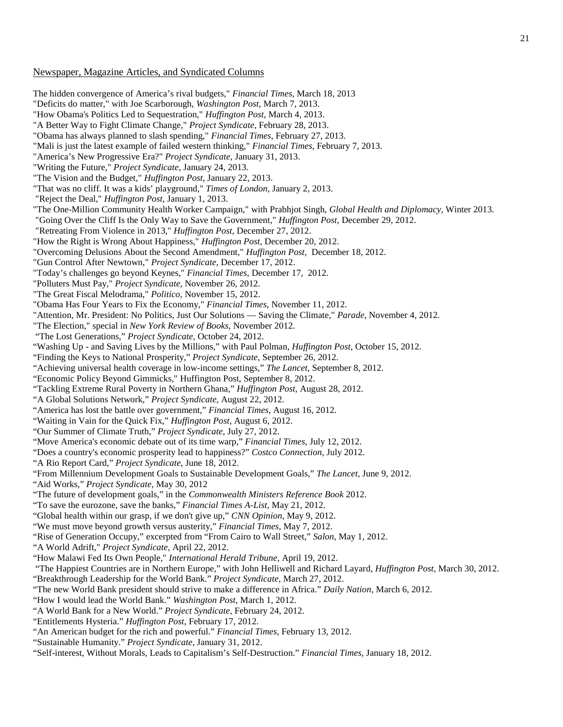## Newspaper, Magazine Articles, and Syndicated Columns

The hidden convergence of America's rival budgets," *Financial Times*, March 18, 2013 "Deficits do matter," with Joe Scarborough, *Washington Post*, March 7, 2013. "How Obama's Politics Led to Sequestration," *Huffington Post*, March 4, 2013. "A Better Way to Fight Climate Change," *Project Syndicate*, February 28, 2013. "Obama has always planned to slash spending," *Financial Times*, February 27, 2013. "Mali is just the latest example of failed western thinking," *Financial Times*, February 7, 2013. "America's New Progressive Era?" *Project Syndicate*, January 31, 2013. "Writing the Future," *Project Syndicate*, January 24, 2013. "The Vision and the Budget," *Huffington Post*, January 22, 2013. "That was no cliff. It was a kids' playground," *Times of London*, January 2, 2013. "Reject the Deal," *Huffington Post*, January 1, 2013. "The One-Million Community Health Worker Campaign," with Prabhjot Singh, *Global Health and Diplomacy*, Winter 2013. "Going Over the Cliff Is the Only Way to Save the Government," *Huffington Post*, December 29, 2012. "Retreating From Violence in 2013," *Huffington Post*, December 27, 2012. "How the Right is Wrong About Happiness," *Huffington Post*, December 20, 2012. "Overcoming Delusions About the Second Amendment," *Huffington Post*, December 18, 2012. "Gun Control After Newtown," *Project Syndicate*, December 17, 2012. "Today's challenges go beyond Keynes," *Financial Times*, December 17, 2012. "Polluters Must Pay," *Project Syndicate*, November 26, 2012. "The Great Fiscal Melodrama," *Politico*, November 15, 2012. "Obama Has Four Years to Fix the Economy," *Financial Times*, November 11, 2012. "Attention, Mr. President: No Politics, Just Our Solutions — Saving the Climate," *Parade,* November 4, 2012. "The Election," special in *New York Review of Books*, November 2012. "The Lost Generations," *Project Syndicate*, October 24, 2012. "Washing Up - and Saving Lives by the Millions," with Paul Polman, *Huffington Post*, October 15, 2012. "Finding the Keys to National Prosperity," *Project Syndicate*, September 26, 2012. "Achieving universal health coverage in low-income settings," *The Lancet*, September 8, 2012. "Economic Policy Beyond Gimmicks," Huffington Post, September 8, 2012. "Tackling Extreme Rural Poverty in Northern Ghana," *Huffington Post*, August 28, 2012. "A Global Solutions Network," *Project Syndicate*, August 22, 2012. "America has lost the battle over government," *Financial Times*, August 16, 2012. "Waiting in Vain for the Quick Fix," *Huffington Post*, August 6, 2012. "Our Summer of Climate Truth," *Project Syndicate*, July 27, 2012. "Move America's economic debate out of its time warp," *Financial Times*, July 12, 2012. "Does a country's economic prosperity lead to happiness?" *Costco Connection*, July 2012. "A Rio Report Card," *Project Syndicate*, June 18, 2012. "From Millennium Development Goals to Sustainable Development Goals," *The Lancet*, June 9, 2012. "Aid Works," *Project Syndicate*, May 30, 2012 "The future of development goals," in the *Commonwealth Ministers Reference Book* 2012. "To save the eurozone, save the banks," *Financial Times A-List*, May 21, 2012. "Global health within our grasp, if we don't give up," *CNN Opinion*, May 9, 2012. "We must move beyond growth versus austerity," *Financial Times*, May 7, 2012. "Rise of Generation Occupy," excerpted from "From Cairo to Wall Street," *Salon*, May 1, 2012. "A World Adrift," *Project Syndicate*, April 22, 2012. "How Malawi Fed Its Own People," *International Herald Tribune*, April 19, 2012. "The Happiest Countries are in Northern Europe," with John Helliwell and Richard Layard, *Huffington Post*, March 30, 2012. "Breakthrough Leadership for the World Bank." *Project Syndicate*, March 27, 2012. "The new World Bank president should strive to make a difference in Africa." *Daily Nation*, March 6, 2012. "How I would lead the World Bank." *Washington Post*, March 1, 2012. "A World Bank for a New World." *Project Syndicate*, February 24, 2012. "Entitlements Hysteria." *Huffington Post*, February 17, 2012. "An American budget for the rich and powerful." *Financial Times*, February 13, 2012.

"Sustainable Humanity." *Project Syndicate*, January 31, 2012.

"Self-interest, Without Morals, Leads to Capitalism's Self-Destruction." *Financial Times,* January 18, 2012.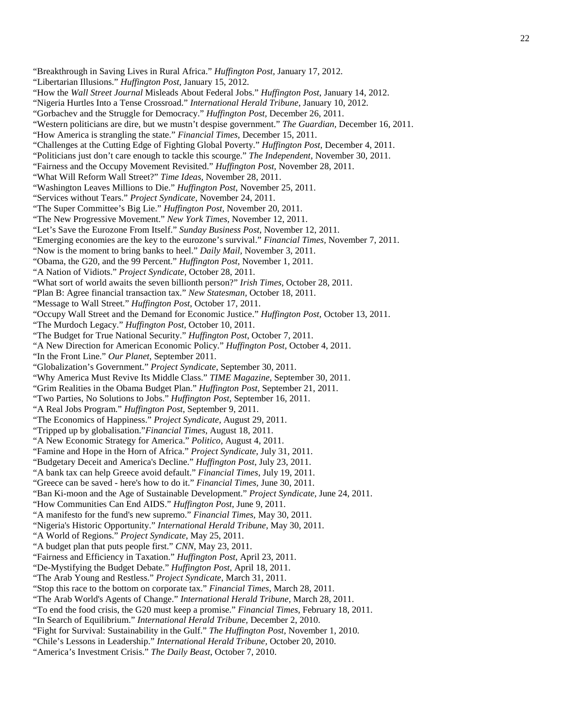- "Breakthrough in Saving Lives in Rural Africa." *Huffington Post,* January 17, 2012. "Libertarian Illusions." *Huffington Post,* January 15, 2012. "How the *Wall Street Journal* Misleads About Federal Jobs." *Huffington Post*, January 14, 2012. "Nigeria Hurtles Into a Tense Crossroad." *International Herald Tribune*, January 10, 2012. "Gorbachev and the Struggle for Democracy." *Huffington Post,* December 26, 2011. "Western politicians are dire, but we mustn't despise government." *The Guardian,* December 16, 2011. "How America is strangling the state." *Financial Times,* December 15, 2011. "Challenges at the Cutting Edge of Fighting Global Poverty." *Huffington Post,* December 4, 2011. "Politicians just don't care enough to tackle this scourge." *The Independent*, November 30, 2011. "Fairness and the Occupy Movement Revisited." *Huffington Post,* November 28, 2011. "What Will Reform Wall Street?" *Time Ideas,* November 28, 2011. "Washington Leaves Millions to Die." *Huffington Post*, November 25, 2011. "Services without Tears." *Project Syndicate,* November 24, 2011. "The Super Committee's Big Lie." *Huffington Post,* November 20, 2011. "The New Progressive Movement." *New York Times,* November 12, 2011. "Let's Save the Eurozone From Itself." *Sunday Business Post*, November 12, 2011. "Emerging economies are the key to the eurozone's survival." *Financial Times,* November 7, 2011. "Now is the moment to bring banks to heel." *Daily Mail,* November 3, 2011. "Obama, the G20, and the 99 Percent." *Huffington Post,* November 1, 2011. "A Nation of Vidiots." *Project Syndicate,* October 28, 2011. "What sort of world awaits the seven billionth person?" *Irish Times,* October 28, 2011. "Plan B: Agree financial transaction tax." *New Statesman,* October 18, 2011. "Message to Wall Street." *Huffington Post*, October 17, 2011. "Occupy Wall Street and the Demand for Economic Justice." *Huffington Post*, October 13, 2011. "The Murdoch Legacy." *Huffington Post,* October 10, 2011. "The Budget for True National Security." *Huffington Post*, October 7, 2011. "A New Direction for American Economic Policy." *Huffington Post*, October 4, 2011. "In the Front Line." *Our Planet*, September 2011. "Globalization's Government." *Project Syndicate*, September 30, 2011. "Why America Must Revive Its Middle Class." *TIME Magazine,* September 30, 2011. "Grim Realities in the Obama Budget Plan." *Huffington Post*, September 21, 2011. "Two Parties, No Solutions to Jobs." *Huffington Post*, September 16, 2011. "A Real Jobs Program." *Huffington Post*, September 9, 2011. "The Economics of Happiness." *Project Syndicate*, August 29, 2011. "Tripped up by globalisation."*Financial Times*, August 18, 2011. "A New Economic Strategy for America." *Politico*, August 4, 2011. "Famine and Hope in the Horn of Africa." *Project Syndicate*, July 31, 2011. "Budgetary Deceit and America's Decline." *Huffington Post*, July 23, 2011. "A bank tax can help Greece avoid default." *Financial Times*, July 19, 2011. "Greece can be saved - here's how to do it." *Financial Times,* June 30, 2011. "Ban Ki-moon and the Age of Sustainable Development." *Project Syndicate,* June 24, 2011. "How Communities Can End AIDS." *Huffington Post*, June 9, 2011. "A manifesto for the fund's new supremo." *Financial Times,* May 30, 2011. "Nigeria's Historic Opportunity." *International Herald Tribune,* May 30, 2011. "A World of Regions." *Project Syndicate*, May 25, 2011. "A budget plan that puts people first." *CNN*, May 23, 2011. "Fairness and Efficiency in Taxation." *Huffington Post*, April 23, 2011. "De-Mystifying the Budget Debate." *Huffington Post,* April 18, 2011. "The Arab Young and Restless." *Project Syndicate*, March 31, 2011. "Stop this race to the bottom on corporate tax." *Financial Times,* March 28, 2011. "The Arab World's Agents of Change." *International Herald Tribune,* March 28, 2011. "To end the food crisis, the G20 must keep a promise." *Financial Times,* February 18, 2011. "In Search of Equilibrium." *International Herald Tribune,* December 2, 2010. "Fight for Survival: Sustainability in the Gulf." *The Huffington Post,* November 1, 2010. "Chile's Lessons in Leadership." *International Herald Tribune,* October 20, 2010.
- "America's Investment Crisis." *The Daily Beast*, October 7, 2010.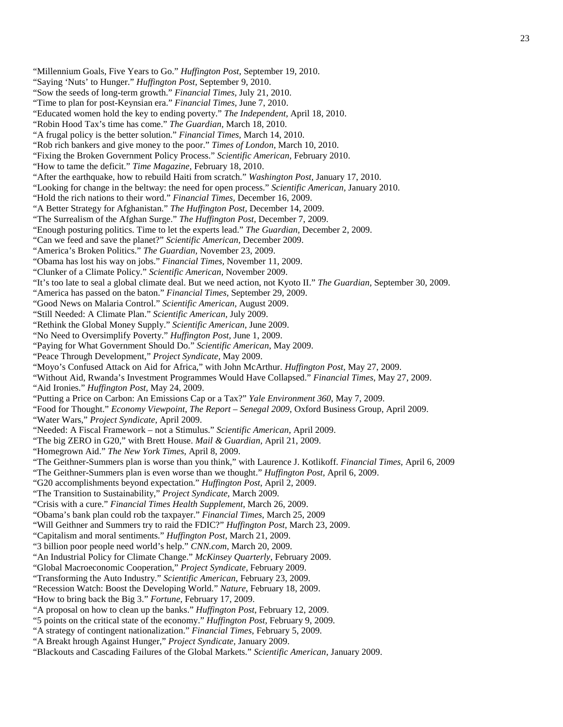"Millennium Goals, Five Years to Go." *Huffington Post*, September 19, 2010.

"Saying 'Nuts' to Hunger." *Huffington Post,* September 9, 2010.

"Sow the seeds of long-term growth." *Financial Times,* July 21, 2010.

"Time to plan for post-Keynsian era." *Financial Times,* June 7, 2010.

"Educated women hold the key to ending poverty." *The Independent,* April 18, 2010.

"Robin Hood Tax's time has come." *The Guardian,* March 18, 2010.

"A frugal policy is the better solution." *Financial Times,* March 14, 2010.

"Rob rich bankers and give money to the poor." *Times of London,* March 10, 2010.

"Fixing the Broken Government Policy Process." *Scientific American,* February 2010.

"How to tame the deficit." *Time Magazine,* February 18, 2010.

"After the earthquake, how to rebuild Haiti from scratch." *Washington Post,* January 17, 2010.

"Looking for change in the beltway: the need for open process." *Scientific American,* January 2010.

"Hold the rich nations to their word." *Financial Times,* December 16, 2009.

"A Better Strategy for Afghanistan." *The Huffington Post,* December 14, 2009.

"The Surrealism of the Afghan Surge." *The Huffington Post,* December 7, 2009.

"Enough posturing politics. Time to let the experts lead." *The Guardian,* December 2, 2009.

"Can we feed and save the planet?" *Scientific American,* December 2009.

"America's Broken Politics." *The Guardian,* November 23, 2009.

"Obama has lost his way on jobs." *Financial Times,* November 11, 2009.

"Clunker of a Climate Policy." *Scientific American,* November 2009.

"It's too late to seal a global climate deal. But we need action, not Kyoto II." *The Guardian,* September 30, 2009.

"America has passed on the baton." *Financial Times,* September 29, 2009.

"Good News on Malaria Control." *Scientific American,* August 2009.

"Still Needed: A Climate Plan." *Scientific American,* July 2009.

"Rethink the Global Money Supply." *Scientific American*, June 2009.

"No Need to Oversimplify Poverty." *Huffington Post,* June 1, 2009.

"Paying for What Government Should Do." *Scientific American*, May 2009.

"Peace Through Development," *Project Syndicate,* May 2009.

"Moyo's Confused Attack on Aid for Africa," with John McArthur. *Huffington Post,* May 27, 2009.

"Without Aid, Rwanda's Investment Programmes Would Have Collapsed." *Financial Times*, May 27, 2009.

"Aid Ironies." *Huffington Post,* May 24, 2009.

"Putting a Price on Carbon: An Emissions Cap or a Tax?" *Yale Environment 360*, May 7, 2009.

"Food for Thought." *Economy Viewpoint, The Report – Senegal 2009*, Oxford Business Group, April 2009.

"Water Wars," *Project Syndicate,* April 2009.

"Needed: A Fiscal Framework – not a Stimulus." *Scientific American*, April 2009.

"The big ZERO in G20," with Brett House. *Mail & Guardian,* April 21, 2009.

"Homegrown Aid." *The New York Times*, April 8, 2009.

"The Geithner-Summers plan is worse than you think," with Laurence J. Kotlikoff. *Financial Times,* April 6, 2009

"The Geithner-Summers plan is even worse than we thought." *Huffington Post,* April 6, 2009.

"G20 accomplishments beyond expectation." *Huffington Post,* April 2, 2009.

"The Transition to Sustainability," *Project Syndicate,* March 2009.

"Crisis with a cure." *Financial Times Health Supplement*, March 26, 2009.

"Obama's bank plan could rob the taxpayer." *Financial Times*, March 25, 2009

"Will Geithner and Summers try to raid the FDIC?" *Huffington Post,* March 23, 2009.

"Capitalism and moral sentiments." *Huffington Post,* March 21, 2009.

"3 billion poor people need world's help." *CNN.com*, March 20, 2009.

"An Industrial Policy for Climate Change." *McKinsey Quarterly*, February 2009.

"Global Macroeconomic Cooperation," *Project Syndicate,* February 2009.

"Transforming the Auto Industry." *Scientific American*, February 23, 2009.

"Recession Watch: Boost the Developing World." *Nature*, February 18, 2009.

"How to bring back the Big 3." *Fortune,* February 17, 2009.

"A proposal on how to clean up the banks." *Huffington Post*, February 12, 2009.

"5 points on the critical state of the economy." *Huffington Post,* February 9, 2009.

"A strategy of contingent nationalization." *Financial Times,* February 5, 2009.

"A Breakt hrough Against Hunger," *Project Syndicate,* January 2009.

"Blackouts and Cascading Failures of the Global Markets." *Scientific American*, January 2009.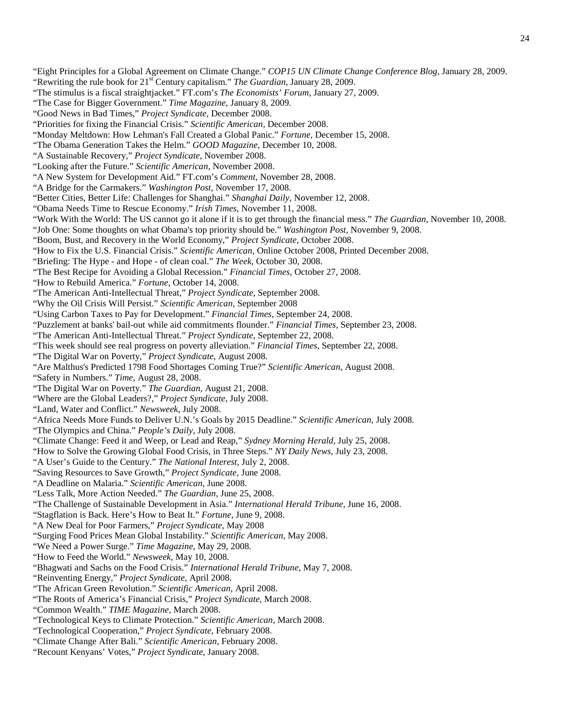- "Eight Principles for a Global Agreement on Climate Change." *COP15 UN Climate Change Conference Blog,* January 28, 2009.
- "Rewriting the rule book for 21st Century capitalism." *The Guardian*, January 28, 2009.
- "The stimulus is a fiscal straightjacket." FT.com's *The Economists' Forum,* January 27, 2009.
- "The Case for Bigger Government." *Time Magazine,* January 8, 2009.
- "Good News in Bad Times," *Project Syndicate,* December 2008.
- "Priorities for fixing the Financial Crisis." *Scientific American*, December 2008.
- "Monday Meltdown: How Lehman's Fall Created a Global Panic." *Fortune,* December 15, 2008.
- "The Obama Generation Takes the Helm." *GOOD Magazine,* December 10, 2008.
- "A Sustainable Recovery," *Project Syndicate,* November 2008.
- "Looking after the Future." *Scientific American*, November 2008.
- "A New System for Development Aid." FT.com's *Comment*, November 28, 2008.
- "A Bridge for the Carmakers." *Washington Post,* November 17, 2008.
- "Better Cities, Better Life: Challenges for Shanghai." *Shanghai Daily,* November 12, 2008.
- "Obama Needs Time to Rescue Economy." *Irish Times*, November 11, 2008.
- "Work With the World: The US cannot go it alone if it is to get through the financial mess." *The Guardian*, November 10, 2008.
- "Job One: Some thoughts on what Obama's top priority should be." *Washington Post*, November 9, 2008.
- "Boom, Bust, and Recovery in the World Economy," *Project Syndicate,* October 2008.
- "How to Fix the U.S. Financial Crisis." *Scientific American,* Online October 2008, Printed December 2008.
- "Briefing: The Hype and Hope of clean coal." *The Week*, October 30, 2008.
- "The Best Recipe for Avoiding a Global Recession." *Financial Times*, October 27, 2008.
- "How to Rebuild America." *Fortune*, October 14, 2008.
- "The American Anti-Intellectual Threat," *Project Syndicate,* September 2008.
- "Why the Oil Crisis Will Persist." *Scientific American,* September 2008
- "Using Carbon Taxes to Pay for Development." *Financial Times*, September 24, 2008.
- "Puzzlement at banks' bail-out while aid commitments flounder." *Financial Times*, September 23, 2008.
- "The American Anti-Intellectual Threat." *Project Syndicate*, September 22, 2008.
- "This week should see real progress on poverty alleviation." *Financial Times*, September 22, 2008.
- "The Digital War on Poverty," *Project Syndicate,* August 2008.
- "Are Malthus's Predicted 1798 Food Shortages Coming True?" *Scientific American,* August 2008.
- "Safety in Numbers." *Time*, August 28, 2008.
- "The Digital War on Poverty." *The Guardian,* August 21, 2008.
- "Where are the Global Leaders?," *Project Syndicate,* July 2008.
- "Land, Water and Conflict." *Newsweek*, July 2008.
- "Africa Needs More Funds to Deliver U.N.'s Goals by 2015 Deadline." *Scientific American,* July 2008*.*
- "The Olympics and China." *People's Daily*, July 2008.
- "Climate Change: Feed it and Weep, or Lead and Reap," *Sydney Morning Herald,* July 25, 2008.
- "How to Solve the Growing Global Food Crisis, in Three Steps." *NY Daily News*, July 23, 2008.
- "A User's Guide to the Century." *The National Interest*, July 2, 2008.
- "Saving Resources to Save Growth," *Project Syndicate,* June 2008.
- "A Deadline on Malaria." *Scientific American*, June 2008.
- "Less Talk, More Action Needed." *The Guardian*, June 25, 2008.
- "The Challenge of Sustainable Development in Asia." *International Herald Tribune,* June 16, 2008.
- "Stagflation is Back. Here's How to Beat It." *Fortune*, June 9, 2008.
- "A New Deal for Poor Farmers," *Project Syndicate,* May 2008
- "Surging Food Prices Mean Global Instability." *Scientific American*, May 2008.
- "We Need a Power Surge." *Time Magazine,* May 29, 2008.
- "How to Feed the World." *Newsweek,* May 10, 2008.
- "Bhagwati and Sachs on the Food Crisis." *International Herald Tribune,* May 7, 2008.
- "Reinventing Energy," *Project Syndicate,* April 2008.
- "The African Green Revolution." *Scientific American*, April 2008.
- "The Roots of America's Financial Crisis," *Project Syndicate,* March 2008.
- "Common Wealth." *TIME Magazine*, March 2008.
- "Technological Keys to Climate Protection." *Scientific American*, March 2008.
- "Technological Cooperation," *Project Syndicate,* February 2008.
- "Climate Change After Bali." *Scientific American,* February 2008.
- "Recount Kenyans' Votes," *Project Syndicate,* January 2008.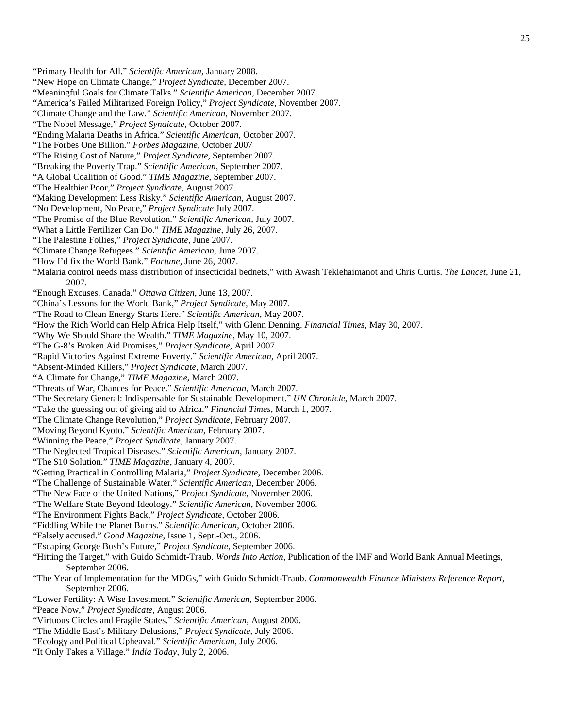- "Primary Health for All." *Scientific American*, January 2008.
- "New Hope on Climate Change," *Project Syndicate,* December 2007.
- "Meaningful Goals for Climate Talks." *Scientific American*, December 2007.
- "America's Failed Militarized Foreign Policy," *Project Syndicate,* November 2007.
- "Climate Change and the Law." *Scientific American*, November 2007.
- "The Nobel Message," *Project Syndicate,* October 2007.
- "Ending Malaria Deaths in Africa." *Scientific American*, October 2007.
- "The Forbes One Billion." *Forbes Magazine*, October 2007
- ["The Rising Cost of Nature,](http://www.project-syndicate.org/commentary/sachs133)" *Project Syndicate,* September 2007.
- "Breaking the Poverty Trap." *Scientific American*, September 2007.
- "A Global Coalition of Good." *TIME Magazine*, September 2007.
- ["The Healthier Poor,](http://www.project-syndicate.org/commentary/sachs132)" *Project Syndicate,* August 2007.
- "Making Development Less Risky." *Scientific American*, August 2007.
- ["No Development, No Peace,](http://www.project-syndicate.org/commentary/sachs131)" *Project Syndicate* July 2007.
- "The Promise of the Blue Revolution." *Scientific American*, July 2007.
- "What a Little Fertilizer Can Do." *TIME Magazine*, July 26, 2007.
- ["The Palestine Follies,"](http://www.project-syndicate.org/commentary/sachs130) *Project Syndicate,* June 2007.
- "Climate Change Refugees." *Scientific American*, June 2007.
- "How I'd fix the World Bank." *Fortune*, June 26, 2007.
- "Malaria control needs mass distribution of insecticidal bednets," with Awash Teklehaimanot and Chris Curtis. *The Lancet*, June 21, 2007.
- "Enough Excuses, Canada." *Ottawa Citizen*, June 13, 2007.
- ["China's Lessons for the World Bank,](http://www.project-syndicate.org/commentary/sachs129)" *Project Syndicate,* May 2007.
- "The Road to Clean Energy Starts Here." *Scientific American*, May 2007.
- "How the Rich World can Help Africa Help Itself," with Glenn Denning. *Financial Times*, May 30, 2007.
- "Why We Should Share the Wealth." *TIME Magazine*, May 10, 2007.
- ["The G-8's Broken Aid Promises,](http://www.project-syndicate.org/commentary/sachs128)" *Project Syndicate,* April 2007.
- "Rapid Victories Against Extreme Poverty." *Scientific American*, April 2007.
- "Absent-Minded Killers," *Project Syndicate,* March 2007.
- "A Climate for Change," *TIME Magazine*, March 2007.
- "Threats of War, Chances for Peace." *Scientific American*, March 2007.
- "The Secretary General: Indispensable for Sustainable Development." *UN Chronicle*, March 2007.
- "Take the guessing out of giving aid to Africa." *Financial Times*, March 1, 2007.
- "The Climate Change Revolution," *Project Syndicate,* February 2007.
- "Moving Beyond Kyoto." *Scientific American*, February 2007.
- "Winning the Peace," *Project Syndicate,* January 2007.
- "The Neglected Tropical Diseases." *Scientific American*, January 2007.
- "The \$10 Solution." *TIME Magazine*, January 4, 2007.
- "Getting Practical in Controlling Malaria," *Project Syndicate,* December 2006.
- "The Challenge of Sustainable Water." *Scientific American*, December 2006.
- "The New Face of the United Nations," *Project Syndicate,* November 2006.
- "The Welfare State Beyond Ideology." *Scientific American*, November 2006.
- "The Environment Fights Back," *Project Syndicate,* October 2006.
- "Fiddling While the Planet Burns." *Scientific American*, October 2006.
- "Falsely accused." *Good Magazine*, Issue 1, Sept.-Oct., 2006.
- "Escaping George Bush's Future," *Project Syndicate,* September 2006.
- "Hitting the Target," with Guido Schmidt-Traub. *Words Into Action*, Publication of the IMF and World Bank Annual Meetings, September 2006.
- "The Year of Implementation for the MDGs," with Guido Schmidt-Traub. *Commonwealth Finance Ministers Reference Report*, September 2006.
- "Lower Fertility: A Wise Investment." *Scientific American*, September 2006.
- "Peace Now," *Project Syndicate,* August 2006.
- "Virtuous Circles and Fragile States." *Scientific American*, August 2006.
- "The Middle East's Military Delusions," *Project Syndicate,* July 2006.
- "Ecology and Political Upheaval." *Scientific American*, July 2006.
- "It Only Takes a Village." *India Today*, July 2, 2006.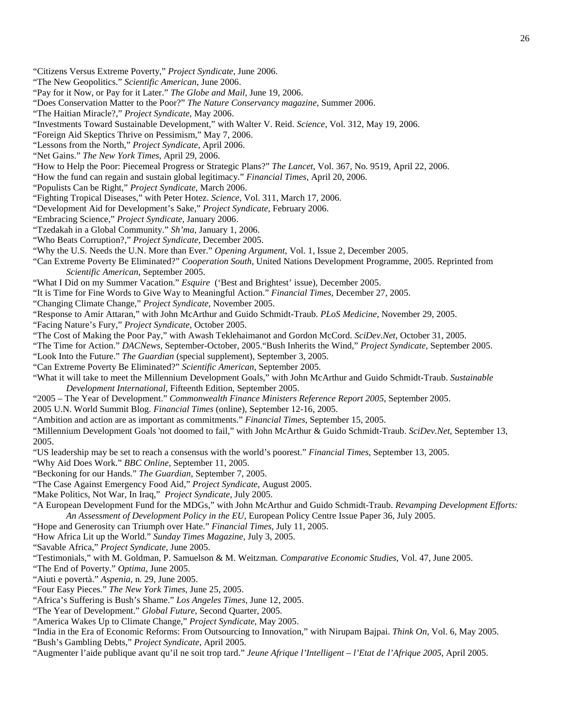- "The New Geopolitics." *Scientific American*, June 2006.
- "Pay for it Now, or Pay for it Later." *The Globe and Mail*, June 19, 2006.
- "Does Conservation Matter to the Poor?" *The Nature Conservancy magazine*, Summer 2006.
- "The Haitian Miracle?," *Project Syndicate,* May 2006.
- "Investments Toward Sustainable Development," with Walter V. Reid. *Science*, Vol. 312, May 19, 2006.
- "Foreign Aid Skeptics Thrive on Pessimism," May 7, 2006.
- "Lessons from the North," *Project Syndicate,* April 2006.
- "Net Gains." *The New York Times*, April 29, 2006.
- "How to Help the Poor: Piecemeal Progress or Strategic Plans?" *The Lancet*, Vol. 367, No. 9519, April 22, 2006.
- "How the fund can regain and sustain global legitimacy." *Financial Times*, April 20, 2006.
- "Populists Can be Right," *Project Syndicate,* March 2006.
- "Fighting Tropical Diseases," with Peter Hotez. *Science*, Vol. 311, March 17, 2006.
- "Development Aid for Development's Sake," *Project Syndicate,* February 2006.
- "Embracing Science," *Project Syndicate,* January 2006.
- "Tzedakah in a Global Community." *Sh'ma*, January 1, 2006.
- "Who Beats Corruption?," *Project Syndicate,* December 2005.
- "Why the U.S. Needs the U.N. More than Ever." *Opening Argument*, Vol. 1, Issue 2, December 2005.
- "Can Extreme Poverty Be Eliminated?" *Cooperation South*, United Nations Development Programme, 2005. Reprinted from *Scientific American*, September 2005.
- "What I Did on my Summer Vacation." *Esquire* ('Best and Brightest' issue), December 2005.
- "It is Time for Fine Words to Give Way to Meaningful Action." *Financial Times*, December 27, 2005.
- "Changing Climate Change," *Project Syndicate,* November 2005.
- "Response to Amir Attaran," with John McArthur and Guido Schmidt-Traub. *PLoS Medicine*, November 29, 2005. "Facing Nature's Fury," *Project Syndicate,* October 2005.
- "The Cost of Making the Poor Pay," with Awash Teklehaimanot and Gordon McCord. *SciDev.Net*, October 31, 2005.
- "The Time for Action." *DACNews,* September-October, 2005."Bush Inherits the Wind," *Project Syndicate,* September 2005.
- "Look Into the Future." *The Guardian* (special supplement), September 3, 2005.
- "Can Extreme Poverty Be Eliminated?" *Scientific American*, September 2005.
- "What it will take to meet the Millennium Development Goals," with John McArthur and Guido Schmidt-Traub. *Sustainable Development International*, Fifteenth Edition, September 2005.
- "2005 The Year of Development." *Commonwealth Finance Ministers Reference Report 2005*, September 2005.
- 2005 U.N. World Summit Blog. *Financial Times* (online), September 12-16, 2005.
- "Ambition and action are as important as commitments." *Financial Times*, September 15, 2005.
- "Millennium Development Goals 'not doomed to fail," with John McArthur & Guido Schmidt-Traub. *SciDev.Net*, September 13, 2005.
- "US leadership may be set to reach a consensus with the world's poorest." *Financial Times*, September 13, 2005.
- "Why Aid Does Work." *BBC Online*, September 11, 2005.
- "Beckoning for our Hands." *The Guardian*, September 7, 2005.
- "The Case Against Emergency Food Aid," *Project Syndicate,* August 2005.
- "Make Politics, Not War, In Iraq," *Project Syndicate,* July 2005.
- "A European Development Fund for the MDGs," with John McArthur and Guido Schmidt-Traub. *Revamping Development Efforts: An Assessment of Development Policy in the EU*, European Policy Centre Issue Paper 36, July 2005.
- "Hope and Generosity can Triumph over Hate." *Financial Times*, July 11, 2005.
- "How Africa Lit up the World." *Sunday Times Magazine*, July 3, 2005.
- "Savable Africa," *Project Syndicate,* June 2005.
- "Testimonials," with M. Goldman, P. Samuelson & M. Weitzman. *Comparative Economic Studies*, Vol. 47, June 2005.
- "The End of Poverty." *Optima*, June 2005.
- "Aiuti e povertà." *Aspenia*, n. 29, June 2005.
- "Four Easy Pieces." *The New York Times*, June 25, 2005.
- "Africa's Suffering is Bush's Shame." *Los Angeles Times*, June 12, 2005.
- "The Year of Development." *Global Future*, Second Quarter, 2005.
- "America Wakes Up to Climate Change," *Project Syndicate,* May 2005.
- "India in the Era of Economic Reforms: From Outsourcing to Innovation," with Nirupam Bajpai. *Think On*, Vol. 6, May 2005. "Bush's Gambling Debts," *Project Syndicate,* April 2005.
- "Augmenter l'aide publique avant qu'il ne soit trop tard." *Jeune Afrique l'Intelligent – l'Etat de l'Afrique 2005*, April 2005.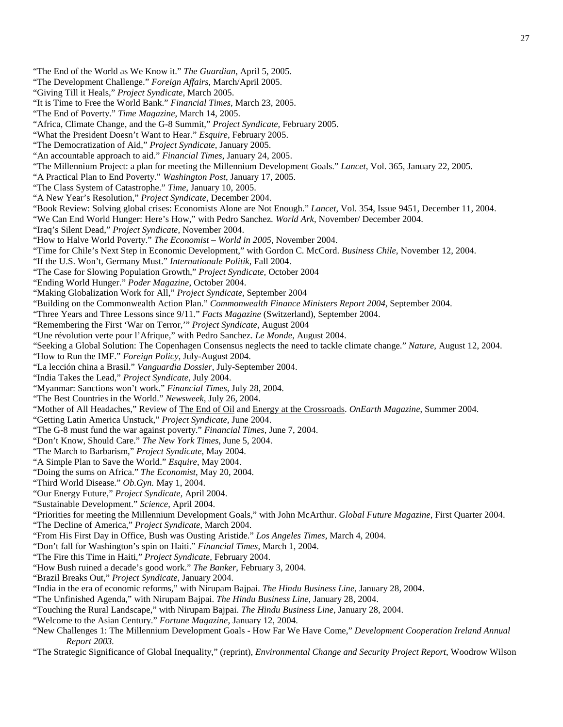27

"The End of the World as We Know it." *The Guardian*, April 5, 2005. "The Development Challenge." *Foreign Affairs*, March/April 2005. "Giving Till it Heals," *Project Syndicate,* March 2005. "It is Time to Free the World Bank." *Financial Times*, March 23, 2005. "The End of Poverty." *Time Magazine*, March 14, 2005. "Africa, Climate Change, and the G-8 Summit," *Project Syndicate,* February 2005. "What the President Doesn't Want to Hear." *Esquire*, February 2005. "The Democratization of Aid," *Project Syndicate,* January 2005. "An accountable approach to aid." *Financial Times*, January 24, 2005. "The Millennium Project: a plan for meeting the Millennium Development Goals." *Lancet*, Vol. 365, January 22, 2005. "A Practical Plan to End Poverty." *Washington Post*, January 17, 2005. "The Class System of Catastrophe." *Time*, January 10, 2005. "A New Year's Resolution," *Project Syndicate,* December 2004. "Book Review: Solving global crises: Economists Alone are Not Enough." *Lancet*, Vol. 354, Issue 9451, December 11, 2004. "We Can End World Hunger: Here's How," with Pedro Sanchez. *World Ark*, November/ December 2004. "Iraq's Silent Dead," *Project Syndicate,* November 2004. "How to Halve World Poverty." *The Economist – World in 2005*, November 2004. "Time for Chile's Next Step in Economic Development," with Gordon C. McCord. *Business Chile*, November 12, 2004. "If the U.S. Won't, Germany Must." *Internationale Politik*, Fall 2004. "The Case for Slowing Population Growth," *Project Syndicate,* October 2004 "Ending World Hunger." *Poder Magazine*, October 2004. "Making Globalization Work for All," *Project Syndicate,* September 2004 "Building on the Commonwealth Action Plan." *Commonwealth Finance Ministers Report 2004*, September 2004. "Three Years and Three Lessons since 9/11." *Facts Magazine* (Switzerland), September 2004. "Remembering the First 'War on Terror,'" *Project Syndicate,* August 2004 "Une révolution verte pour l'Afrique," with Pedro Sanchez. *Le Monde*, August 2004. "Seeking a Global Solution: The Copenhagen Consensus neglects the need to tackle climate change." *Nature*, August 12, 2004. "How to Run the IMF." *Foreign Policy*, July-August 2004. "La lección china a Brasil." *Vanguardia Dossier*, July-September 2004. "India Takes the Lead," *Project Syndicate,* July 2004. "Myanmar: Sanctions won't work." *Financial Times*, July 28, 2004. "The Best Countries in the World." *Newsweek*, July 26, 2004. "Mother of All Headaches," Review of The End of Oil and Energy at the Crossroads. *OnEarth Magazine*, Summer 2004. "Getting Latin America Unstuck," *Project Syndicate,* June 2004. "The G-8 must fund the war against poverty." *Financial Times*, June 7, 2004. "Don't Know, Should Care." *The New York Times*, June 5, 2004. "The March to Barbarism," *Project Syndicate,* May 2004. "A Simple Plan to Save the World." *Esquire*, May 2004. "Doing the sums on Africa." *The Economist*, May 20, 2004. "Third World Disease." *Ob.Gyn.* May 1, 2004. "Our Energy Future," *Project Syndicate,* April 2004. "Sustainable Development." *Science*, April 2004. "Priorities for meeting the Millennium Development Goals," with John McArthur. *Global Future Magazine*, First Quarter 2004. "The Decline of America," *Project Syndicate,* March 2004. "From His First Day in Office, Bush was Ousting Aristide." *Los Angeles Times*, March 4, 2004. "Don't fall for Washington's spin on Haiti." *Financial Times*, March 1, 2004. "The Fire this Time in Haiti," *Project Syndicate,* February 2004. "How Bush ruined a decade's good work." *The Banker*, February 3, 2004. "Brazil Breaks Out," *Project Syndicate,* January 2004. "India in the era of economic reforms," with Nirupam Bajpai. *The Hindu Business Line*, January 28, 2004. "The Unfinished Agenda," with Nirupam Bajpai. *The Hindu Business Line*, January 28, 2004. "Touching the Rural Landscape," with Nirupam Bajpai. *The Hindu Business Line*, January 28, 2004. "Welcome to the Asian Century." *Fortune Magazine*, January 12, 2004. "New Challenges 1: The Millennium Development Goals - How Far We Have Come," *Development Cooperation Ireland Annual Report 2003.*

"The Strategic Significance of Global Inequality," (reprint), *Environmental Change and Security Project Report*, Woodrow Wilson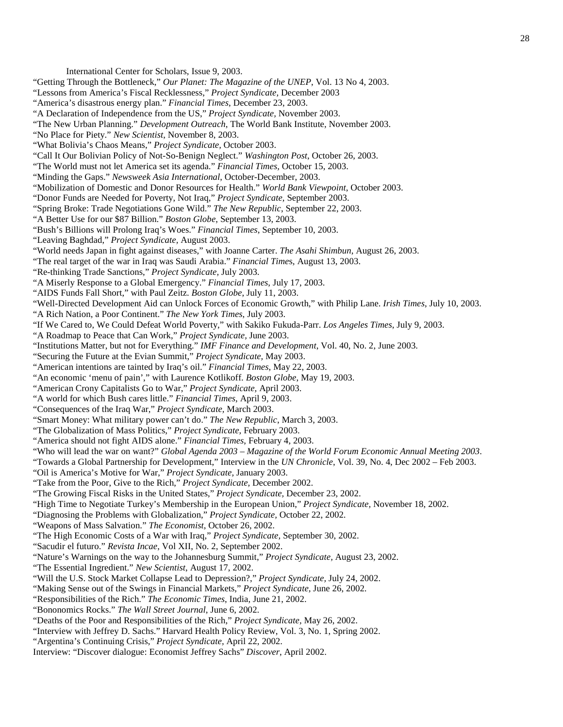International Center for Scholars, Issue 9, 2003. "Getting Through the Bottleneck," *Our Planet: The Magazine of the UNEP*, Vol. 13 No 4, 2003. "Lessons from America's Fiscal Recklessness," *Project Syndicate,* December 2003 "America's disastrous energy plan." *Financial Times*, December 23, 2003. "A Declaration of Independence from the US," *Project Syndicate,* November 2003. "The New Urban Planning." *Development Outreach*, The World Bank Institute, November 2003. "No Place for Piety." *New Scientist*, November 8, 2003. "What Bolivia's Chaos Means," *Project Syndicate,* October 2003. "Call It Our Bolivian Policy of Not-So-Benign Neglect." *Washington Post*, October 26, 2003. "The World must not let America set its agenda." *Financial Times,* October 15, 2003. "Minding the Gaps." *Newsweek Asia International*, October-December, 2003. "Mobilization of Domestic and Donor Resources for Health." *World Bank Viewpoint*, October 2003. "Donor Funds are Needed for Poverty, Not Iraq," *Project Syndicate,* September 2003. "Spring Broke: Trade Negotiations Gone Wild." *The New Republic*, September 22, 2003. "A Better Use for our \$87 Billion." *Boston Globe*, September 13, 2003. "Bush's Billions will Prolong Iraq's Woes." *Financial Times*, September 10, 2003. "Leaving Baghdad," *Project Syndicate,* August 2003. "World needs Japan in fight against diseases," with Joanne Carter. *The Asahi Shimbun*, August 26, 2003. "The real target of the war in Iraq was Saudi Arabia." *Financial Time*s*,* August 13, 2003. "Re-thinking Trade Sanctions," *Project Syndicate,* July 2003. "A Miserly Response to a Global Emergency." *Financial Times*, July 17, 2003. "AIDS Funds Fall Short," with Paul Zeitz. *Boston Globe*, July 11, 2003. "Well-Directed Development Aid can Unlock Forces of Economic Growth," with Philip Lane. *Irish Times*, July 10, 2003. "A Rich Nation, a Poor Continent." *The New York Times*, July 2003. "If We Cared to, We Could Defeat World Poverty," with Sakiko Fukuda-Parr. *Los Angeles Times*, July 9, 2003. "A Roadmap to Peace that Can Work," *Project Syndicate,* June 2003. "Institutions Matter, but not for Everything." *IMF Finance and Development*, Vol. 40, No. 2, June 2003. "Securing the Future at the Evian Summit," *Project Syndicate,* May 2003. "American intentions are tainted by Iraq's oil." *Financial Times*, May 22, 2003. "An economic 'menu of pain'," with Laurence Kotlikoff. *Boston Globe*, May 19, 2003. "American Crony Capitalists Go to War," *Project Syndicate,* April 2003. "A world for which Bush cares little." *Financial Times*, April 9, 2003. "Consequences of the Iraq War," *Project Syndicate,* March 2003. "Smart Money: What military power can't do." *The New Republic*, March 3, 2003. "The Globalization of Mass Politics," *Project Syndicate,* February 2003. "America should not fight AIDS alone." *Financial Times*, February 4, 2003. "Who will lead the war on want?" *Global Agenda 2003 – Magazine of the World Forum Economic Annual Meeting 2003*. "Towards a Global Partnership for Development," Interview in the *UN Chronicle*, Vol. 39, No. 4, Dec 2002 – Feb 2003. "Oil is America's Motive for War," *Project Syndicate,* January 2003. "Take from the Poor, Give to the Rich," *Project Syndicate,* December 2002. "The Growing Fiscal Risks in the United States," *Project Syndicate,* December 23, 2002. "High Time to Negotiate Turkey's Membership in the European Union," *Project Syndicate,* November 18, 2002. "Diagnosing the Problems with Globalization," *Project Syndicate,* October 22, 2002. "Weapons of Mass Salvation." *The Economist*, October 26, 2002. "The High Economic Costs of a War with Iraq," *Project Syndicate,* September 30, 2002. "Sacudir el futuro." *Revista Incae*, Vol XII, No. 2, September 2002. "Nature's Warnings on the way to the Johannesburg Summit," *Project Syndicate,* August 23, 2002. "The Essential Ingredient." *New Scientist*, August 17, 2002. "Will the U.S. Stock Market Collapse Lead to Depression?," *Project Syndicate,* July 24, 2002. "Making Sense out of the Swings in Financial Markets," *Project Syndicate,* June 26, 2002. "Responsibilities of the Rich." *The Economic Times*, India, June 21, 2002. "Bononomics Rocks." *The Wall Street Journal*, June 6, 2002. "Deaths of the Poor and Responsibilities of the Rich," *Project Syndicate,* May 26, 2002.

- "Interview with Jeffrey D. Sachs." Harvard Health Policy Review, Vol. 3, No. 1, Spring 2002.
- "Argentina's Continuing Crisis," *Project Syndicate,* April 22, 2002.
- Interview: "Discover dialogue: Economist Jeffrey Sachs" *Discover*, April 2002.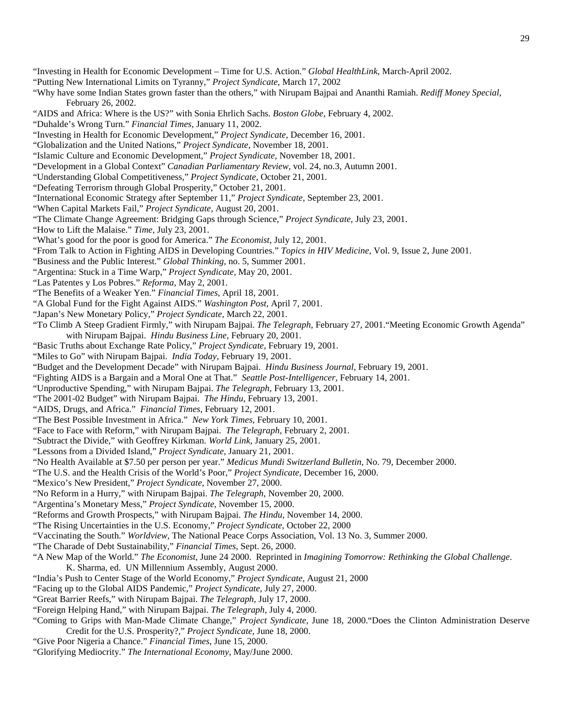"Investing in Health for Economic Development – Time for U.S. Action." *Global HealthLink*, March-April 2002.

"Putting New International Limits on Tyranny," *Project Syndicate,* March 17, 2002

"Why have some Indian States grown faster than the others," with Nirupam Bajpai and Ananthi Ramiah. *Rediff Money Special*, February 26, 2002.

"AIDS and Africa: Where is the US?" with Sonia Ehrlich Sachs. *Boston Globe*, February 4, 2002.

"Duhalde's Wrong Turn." *Financial Times*, January 11, 2002.

"Investing in Health for Economic Development," *Project Syndicate,* December 16, 2001.

"Globalization and the United Nations," *Project Syndicate,* November 18, 2001.

"Islamic Culture and Economic Development," *Project Syndicate,* November 18, 2001.

"Development in a Global Context" *Canadian Parliamentary Review,* vol. 24, no.3, Autumn 2001.

"Understanding Global Competitiveness," *Project Syndicate,* October 21, 2001.

"Defeating Terrorism through Global Prosperity," October 21, 2001.

"International Economic Strategy after September 11," *Project Syndicate,* September 23, 2001.

"When Capital Markets Fail," *Project Syndicate,* August 20, 2001.

"The Climate Change Agreement: Bridging Gaps through Science," *Project Syndicate,* July 23, 2001.

"How to Lift the Malaise." *Time*, July 23, 2001.

"What's good for the poor is good for America." *The Economist*, July 12, 2001.

"From Talk to Action in Fighting AIDS in Developing Countries." *Topics in HIV Medicine*, Vol. 9, Issue 2, June 2001.

"Business and the Public Interest." *Global Thinking,* no. 5, Summer 2001.

"Argentina: Stuck in a Time Warp," *Project Syndicate,* May 20, 2001.

"Las Patentes y Los Pobres." *Reforma*, May 2, 2001.

"The Benefits of a Weaker Yen." *Financial Times*, April 18, 2001.

"A Global Fund for the Fight Against AIDS." *Washington Post,* April 7, 2001.

"Japan's New Monetary Policy," *Project Syndicate,* March 22, 2001.

"To Climb A Steep Gradient Firmly," with Nirupam Bajpai. *The Telegraph*, February 27, 2001."Meeting Economic Growth Agenda" with Nirupam Bajpai. *Hindu Business Line*, February 20, 2001.

"Basic Truths about Exchange Rate Policy," *Project Syndicate,* February 19, 2001.

"Miles to Go" with Nirupam Bajpai. *India Today*, February 19, 2001.

"Budget and the Development Decade" with Nirupam Bajpai. *Hindu Business Journal*, February 19, 2001.

"Fighting AIDS is a Bargain and a Moral One at That." *Seattle Post-Intelligencer*, February 14, 2001.

"Unproductive Spending," with Nirupam Bajpai. *The Telegraph*, February 13, 2001.

"The 2001-02 Budget" with Nirupam Bajpai. *The Hindu*, February 13, 2001.

"AIDS, Drugs, and Africa." *Financial Times*, February 12, 2001.

- "The Best Possible Investment in Africa." *New York Times*, February 10, 2001.
- "Face to Face with Reform," with Nirupam Bajpai. *The Telegraph*, February 2, 2001.

"Subtract the Divide," with Geoffrey Kirkman. *World Link,* January 25, 2001.

"Lessons from a Divided Island," *Project Syndicate,* January 21, 2001.

"No Health Available at \$7.50 per person per year." *Medicus Mundi Switzerland Bulletin*, No. 79, December 2000.

"The U.S. and the Health Crisis of the World's Poor," *Project Syndicate,* December 16, 2000.

"Mexico's New President," *Project Syndicate,* November 27, 2000.

"No Reform in a Hurry," with Nirupam Bajpai. *The Telegraph*, November 20, 2000.

"Argentina's Monetary Mess," *Project Syndicate,* November 15, 2000.

"Reforms and Growth Prospects," with Nirupam Bajpai. *The Hindu*, November 14, 2000.

"The Rising Uncertainties in the U.S. Economy," *Project Syndicate,* October 22, 2000

"Vaccinating the South." *Worldview*, The National Peace Corps Association, Vol. 13 No. 3, Summer 2000.

"The Charade of Debt Sustainability," *Financial Times*, Sept. 26, 2000.

"A New Map of the World." *The Economist*, June 24 2000. Reprinted in *Imagining Tomorrow: Rethinking the Global Challenge*.

K. Sharma, ed. UN Millennium Assembly, August 2000.

"India's Push to Center Stage of the World Economy," *Project Syndicate,* August 21, 2000

"Facing up to the Global AIDS Pandemic," *Project Syndicate,* July 27, 2000.

"Great Barrier Reefs," with Nirupam Bajpai. *The Telegraph*, July 17, 2000.

"Foreign Helping Hand," with Nirupam Bajpai. *The Telegraph*, July 4, 2000.

"Coming to Grips with Man-Made Climate Change," *Project Syndicate,* June 18, 2000."Does the Clinton Administration Deserve Credit for the U.S. Prosperity?," *Project Syndicate,* June 18, 2000.

"Give Poor Nigeria a Chance." *Financial Times*, June 15, 2000.

"Glorifying Mediocrity." *The International Economy,* May/June 2000.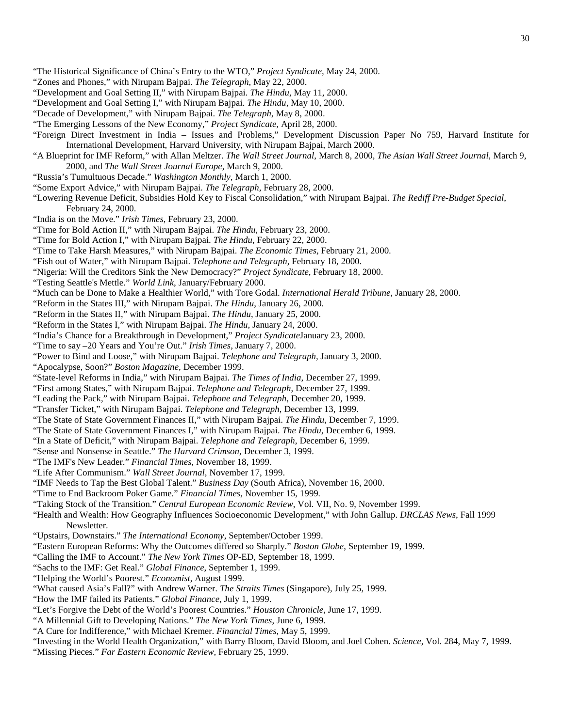- "The Historical Significance of China's Entry to the WTO," *Project Syndicate,* May 24, 2000.
- "Zones and Phones," with Nirupam Bajpai. *The Telegraph*, May 22, 2000.
- "Development and Goal Setting II," with Nirupam Bajpai. *The Hindu*, May 11, 2000.
- "Development and Goal Setting I," with Nirupam Bajpai. *The Hindu*, May 10, 2000.
- "Decade of Development," with Nirupam Bajpai. *The Telegraph*, May 8, 2000.
- "The Emerging Lessons of the New Economy," *Project Syndicate,* April 28, 2000.
- "Foreign Direct Investment in India Issues and Problems," Development Discussion Paper No 759, Harvard Institute for International Development, Harvard University, with Nirupam Bajpai, March 2000.
- "A Blueprint for IMF Reform," with Allan Meltzer. *The Wall Street Journal*, March 8, 2000, *The Asian Wall Street Journal,* March 9, 2000, and *The Wall Street Journal Europe*, March 9, 2000.
- "Russia's Tumultuous Decade." *Washington Monthly*, March 1, 2000.
- "Some Export Advice," with Nirupam Bajpai. *The Telegraph*, February 28, 2000.
- "Lowering Revenue Deficit, Subsidies Hold Key to Fiscal Consolidation," with Nirupam Bajpai. *The Rediff Pre-Budget Special*, February 24, 2000.
- "India is on the Move." *Irish Times*, February 23, 2000.
- "Time for Bold Action II," with Nirupam Bajpai. *The Hindu*, February 23, 2000.
- "Time for Bold Action I," with Nirupam Bajpai. *The Hindu*, February 22, 2000.
- "Time to Take Harsh Measures," with Nirupam Bajpai. *The Economic Times*, February 21, 2000.
- "Fish out of Water," with Nirupam Bajpai. *Telephone and Telegraph*, February 18, 2000.
- "Nigeria: Will the Creditors Sink the New Democracy?" *Project Syndicate,* February 18, 2000.
- "Testing Seattle's Mettle." *World Link*, January/February 2000.
- "Much can be Done to Make a Healthier World," with Tore Godal. *International Herald Tribune*, January 28, 2000.
- "Reform in the States III," with Nirupam Bajpai. *The Hindu*, January 26, 2000.
- "Reform in the States II," with Nirupam Bajpai. *The Hindu*, January 25, 2000.
- "Reform in the States I," with Nirupam Bajpai. *The Hindu*, January 24, 2000.
- "India's Chance for a Breakthrough in Development," *Project Syndicate*January 23, 2000.
- "Time to say –20 Years and You're Out." *Irish Times*, January 7, 2000.
- "Power to Bind and Loose," with Nirupam Bajpai. *Telephone and Telegraph,* January 3, 2000.
- "Apocalypse, Soon?" *Boston Magazine,* December 1999.
- "State-level Reforms in India," with Nirupam Bajpai. *The Times of India*, December 27, 1999.
- "First among States," with Nirupam Bajpai. *Telephone and Telegraph*, December 27, 1999.
- "Leading the Pack," with Nirupam Bajpai. *Telephone and Telegraph*, December 20, 1999.
- "Transfer Ticket," with Nirupam Bajpai. *Telephone and Telegraph*, December 13, 1999.
- "The State of State Government Finances II," with Nirupam Bajpai. *The Hindu*, December 7, 1999.
- "The State of State Government Finances I," with Nirupam Bajpai. *The Hindu*, December 6, 1999.
- "In a State of Deficit," with Nirupam Bajpai. *Telephone and Telegraph*, December 6, 1999.
- "Sense and Nonsense in Seattle." *The Harvard Crimson*, December 3, 1999.
- "The IMF's New Leader." *Financial Times*, November 18, 1999.
- "Life After Communism." *Wall Street Journal*, November 17, 1999.
- "IMF Needs to Tap the Best Global Talent." *Business Day* (South Africa), November 16, 2000.
- "Time to End Backroom Poker Game." *Financial Times,* November 15, 1999*.*
- "Taking Stock of the Transition." *Central European Economic Review*, Vol. VII, No. 9, November 1999.
- "Health and Wealth: How Geography Influences Socioeconomic Development," with John Gallup. *DRCLAS News*, Fall 1999 Newsletter.
- "Upstairs, Downstairs." *The International Economy*, September/October 1999.
- "Eastern European Reforms: Why the Outcomes differed so Sharply." *Boston Globe*, September 19, 1999.
- "Calling the IMF to Account." *The New York Times* OP-ED, September 18, 1999.
- "Sachs to the IMF: Get Real." *Global Finance*, September 1, 1999.
- "Helping the World's Poorest." *Economist*, August 1999.
- "What caused Asia's Fall?" with Andrew Warner. *The Straits Times* (Singapore), July 25, 1999.
- "How the IMF failed its Patients." *Global Finance*, July 1, 1999.
- "Let's Forgive the Debt of the World's Poorest Countries." *Houston Chronicle,* June 17, 1999.
- "A Millennial Gift to Developing Nations." *The New York Times*, June 6, 1999.
- "A Cure for Indifference," with Michael Kremer. *Financial Times*, May 5, 1999.
- "Investing in the World Health Organization," with Barry Bloom, David Bloom, and Joel Cohen. *Science*, Vol. 284, May 7, 1999.
- "Missing Pieces." *Far Eastern Economic Review,* February 25, 1999.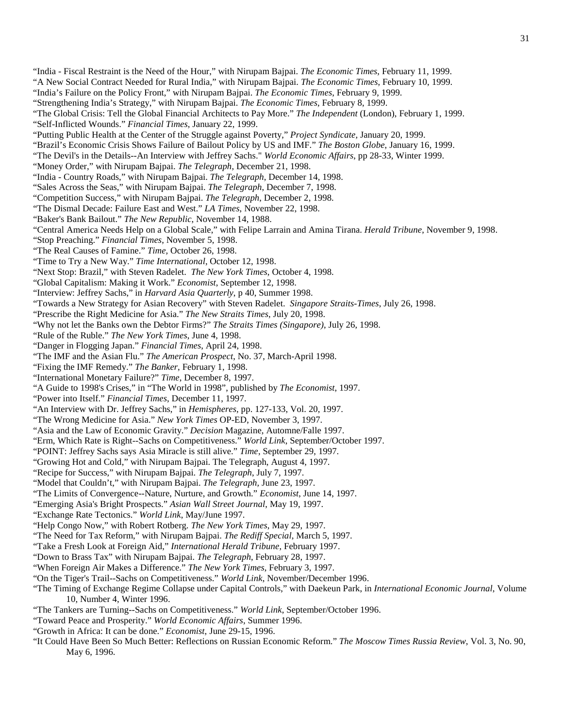- "India Fiscal Restraint is the Need of the Hour," with Nirupam Bajpai. *The Economic Times*, February 11, 1999.
- "A New Social Contract Needed for Rural India," with Nirupam Bajpai. *The Economic Times*, February 10, 1999.
- "India's Failure on the Policy Front," with Nirupam Bajpai. *The Economic Times*, February 9, 1999.
- "Strengthening India's Strategy," with Nirupam Bajpai. *The Economic Times*, February 8, 1999.
- "The Global Crisis: Tell the Global Financial Architects to Pay More." *The Independent* (London), February 1, 1999. "Self-Inflicted Wounds." *Financial Times*, January 22, 1999.
- 
- "Putting Public Health at the Center of the Struggle against Poverty," *Project Syndicate,* January 20, 1999.
- "Brazil's Economic Crisis Shows Failure of Bailout Policy by US and IMF." *The Boston Globe*, January 16, 1999.
- "The Devil's in the Details--An Interview with Jeffrey Sachs." *World Economic Affairs*, pp 28-33, Winter 1999.
- "Money Order," with Nirupam Bajpai. *The Telegraph*, December 21, 1998.
- "India Country Roads," with Nirupam Bajpai. *The Telegraph*, December 14, 1998.
- "Sales Across the Seas," with Nirupam Bajpai. *The Telegraph*, December 7, 1998.
- "Competition Success," with Nirupam Bajpai. *The Telegraph*, December 2, 1998.
- "The Dismal Decade: Failure East and West." *LA Times*, November 22, 1998.
- "Baker's Bank Bailout." *The New Republic*, November 14, 1988.
- "Central America Needs Help on a Global Scale," with Felipe Larrain and Amina Tirana. *Herald Tribune*, November 9, 1998.
- "Stop Preaching." *Financial Times*, November 5, 1998.
- "The Real Causes of Famine." *Time,* October 26, 1998.
- "Time to Try a New Way." *Time International*, October 12, 1998.
- "Next Stop: Brazil," with Steven Radelet. *The New York Times*, October 4, 1998.
- "Global Capitalism: Making it Work." *Economist*, September 12, 1998.
- "Interview: Jeffrey Sachs," in *Harvard Asia Quarterly*, p 40, Summer 1998.
- "Towards a New Strategy for Asian Recovery" with Steven Radelet. *Singapore Straits-Times*, July 26, 1998.
- "Prescribe the Right Medicine for Asia." *The New Straits Times*, July 20, 1998.
- "Why not let the Banks own the Debtor Firms?" *The Straits Times (Singapore)*, July 26, 1998.
- "Rule of the Ruble." *The New York Times*, June 4, 1998.
- "Danger in Flogging Japan." *Financial Times*, April 24, 1998.
- "The IMF and the Asian Flu." *The American Prospect*, No. 37, March-April 1998.
- "Fixing the IMF Remedy." *The Banker*, February 1, 1998.
- "International Monetary Failure?" *Time*, December 8, 1997.
- "A Guide to 1998's Crises," in "The World in 1998", published by *The Economist*, 1997.
- "Power into Itself." *Financial Times*, December 11, 1997.
- "An Interview with Dr. Jeffrey Sachs," in *Hemispheres*, pp. 127-133, Vol. 20, 1997.
- "The Wrong Medicine for Asia." *New York Times* OP-ED, November 3, 1997.
- "Asia and the Law of Economic Gravity." *Decision* Magazine, Automne/Falle 1997.
- "Erm, Which Rate is Right--Sachs on Competitiveness." *World Link*, September/October 1997.
- "POINT: Jeffrey Sachs says Asia Miracle is still alive." *Time*, September 29, 1997.
- "Growing Hot and Cold," with Nirupam Bajpai. The Telegraph, August 4, 1997.
- "Recipe for Success," with Nirupam Bajpai. *The Telegraph*, July 7, 1997.
- "Model that Couldn't," with Nirupam Bajpai. *The Telegraph,* June 23, 1997.
- "The Limits of Convergence--Nature, Nurture, and Growth." *Economist*, June 14, 1997.
- "Emerging Asia's Bright Prospects." *Asian Wall Street Journal*, May 19, 1997.
- "Exchange Rate Tectonics." *World Link*, May/June 1997.
- "Help Congo Now," with Robert Rotberg. *The New York Times*, May 29, 1997.
- "The Need for Tax Reform," with Nirupam Bajpai. *The Rediff Special*, March 5, 1997.
- "Take a Fresh Look at Foreign Aid," *International Herald Tribune*, February 1997.
- "Down to Brass Tax" with Nirupam Bajpai. *The Telegraph*, February 28, 1997.
- "When Foreign Air Makes a Difference." *The New York Times*, February 3, 1997.
- "On the Tiger's Trail--Sachs on Competitiveness." *World Link*, November/December 1996.
- "The Timing of Exchange Regime Collapse under Capital Controls," with Daekeun Park, in *International Economic Journal*, Volume 10, Number 4, Winter 1996.
- "The Tankers are Turning--Sachs on Competitiveness." *World Link*, September/October 1996.
- "Toward Peace and Prosperity." *World Economic Affairs*, Summer 1996.
- "Growth in Africa: It can be done." *Economist*, June 29-15, 1996.
- "It Could Have Been So Much Better: Reflections on Russian Economic Reform." *The Moscow Times Russia Review*, Vol. 3, No. 90, May 6, 1996.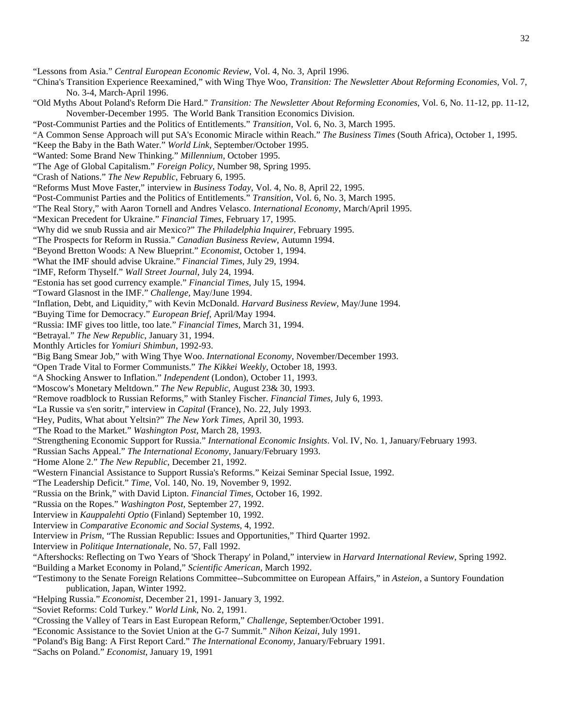"Lessons from Asia." *Central European Economic Review*, Vol. 4, No. 3, April 1996.

- "China's Transition Experience Reexamined," with Wing Thye Woo, *Transition: The Newsletter About Reforming Economies*, Vol. 7, No. 3-4, March-April 1996.
- "Old Myths About Poland's Reform Die Hard." *Transition: The Newsletter About Reforming Economies*, Vol. 6, No. 11-12, pp. 11-12, November-December 1995. The World Bank Transition Economics Division.
- "Post-Communist Parties and the Politics of Entitlements." *Transition*, Vol. 6, No. 3, March 1995.
- "A Common Sense Approach will put SA's Economic Miracle within Reach." *The Business Times* (South Africa), October 1, 1995.
- "Keep the Baby in the Bath Water." *World Link*, September/October 1995.
- "Wanted: Some Brand New Thinking." *Millennium*, October 1995.
- "The Age of Global Capitalism." *Foreign Policy*, Number 98, Spring 1995.
- "Crash of Nations." *The New Republic*, February 6, 1995.
- "Reforms Must Move Faster," interview in *Business Today*, Vol. 4, No. 8, April 22, 1995.
- "Post-Communist Parties and the Politics of Entitlements." *Transition*, Vol. 6, No. 3, March 1995.
- "The Real Story," with Aaron Tornell and Andres Velasco. *International Economy*, March/April 1995.
- "Mexican Precedent for Ukraine." *Financial Times*, February 17, 1995.
- "Why did we snub Russia and air Mexico?" *The Philadelphia Inquirer,* February 1995.
- "The Prospects for Reform in Russia." *Canadian Business Review*, Autumn 1994.
- "Beyond Bretton Woods: A New Blueprint." *Economist*, October 1, 1994.
- "What the IMF should advise Ukraine." *Financial Times*, July 29, 1994.
- "IMF, Reform Thyself." *Wall Street Journal*, July 24, 1994.
- "Estonia has set good currency example." *Financial Times*, July 15, 1994.
- "Toward Glasnost in the IMF." *Challenge,* May/June 1994.
- "Inflation, Debt, and Liquidity," with Kevin McDonald. *Harvard Business Review*, May/June 1994.
- "Buying Time for Democracy." *European Brief*, April/May 1994.
- "Russia: IMF gives too little, too late." *Financial Times,* March 31, 1994.
- "Betrayal." *The New Republic*, January 31, 1994.
- Monthly Articles for *Yomiuri Shimbun*, 1992-93.
- "Big Bang Smear Job," with Wing Thye Woo. *International Economy*, November/December 1993.
- "Open Trade Vital to Former Communists." *The Kikkei Weekly*, October 18, 1993.
- "A Shocking Answer to Inflation." *Independent* (London), October 11, 1993.
- "Moscow's Monetary Meltdown." *The New Republic*, August 23& 30, 1993.
- "Remove roadblock to Russian Reforms," with Stanley Fischer. *Financial Times*, July 6, 1993.
- "La Russie va s'en soritr," interview in *Capital* (France), No. 22, July 1993.
- "Hey, Pudits, What about Yeltsin?" *The New York Times*, April 30, 1993.
- "The Road to the Market." *Washington Post*, March 28, 1993.
- "Strengthening Economic Support for Russia." *International Economic Insights*. Vol. IV, No. 1, January/February 1993.
- "Russian Sachs Appeal." *The International Economy*, January/February 1993.
- "Home Alone 2." *The New Republic*, December 21, 1992.
- "Western Financial Assistance to Support Russia's Reforms." Keizai Seminar Special Issue, 1992.
- "The Leadership Deficit." *Time*, Vol. 140, No. 19, November 9, 1992.
- "Russia on the Brink," with David Lipton. *Financial Times*, October 16, 1992.
- "Russia on the Ropes." *Washington Post*, September 27, 1992.
- Interview in *Kauppalehti Optio* (Finland) September 10, 1992.
- Interview in *Comparative Economic and Social Systems*, 4, 1992.
- Interview in *Prism*, "The Russian Republic: Issues and Opportunities," Third Quarter 1992.
- Interview in *Politique Internationale*, No. 57, Fall 1992.
- "Aftershocks: Reflecting on Two Years of 'Shock Therapy' in Poland," interview in *Harvard International Review*, Spring 1992.
- "Building a Market Economy in Poland," *Scientific American*, March 1992.
- "Testimony to the Senate Foreign Relations Committee--Subcommittee on European Affairs," in *Asteion*, a Suntory Foundation publication, Japan, Winter 1992.
- "Helping Russia." *Economist*, December 21, 1991- January 3, 1992.
- "Soviet Reforms: Cold Turkey." *World Link*, No. 2, 1991.
- "Crossing the Valley of Tears in East European Reform," *Challenge*, September/October 1991.
- "Economic Assistance to the Soviet Union at the G-7 Summit." *Nihon Keizai*, July 1991.
- "Poland's Big Bang: A First Report Card." *The International Economy*, January/February 1991.
- "Sachs on Poland." *Economist*, January 19, 1991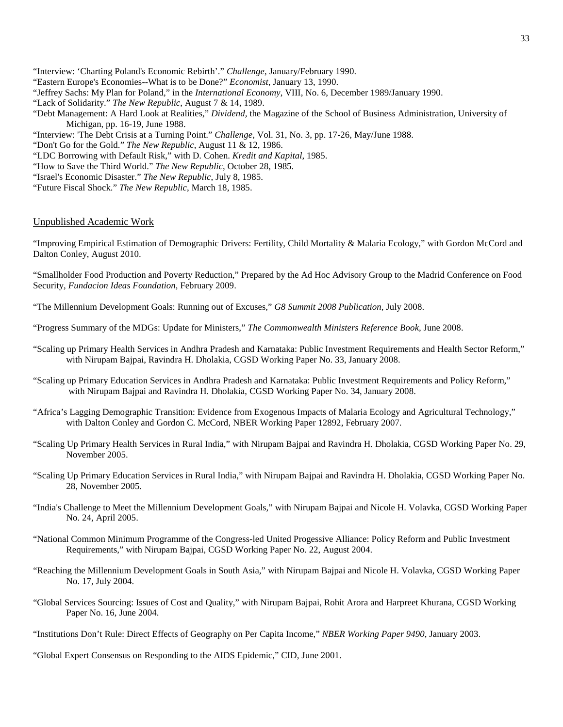- "Interview: 'Charting Poland's Economic Rebirth'." *Challenge*, January/February 1990.
- "Eastern Europe's Economies--What is to be Done?" *Economist*, January 13, 1990.
- "Jeffrey Sachs: My Plan for Poland," in the *International Economy*, VIII, No. 6, December 1989/January 1990.
- "Lack of Solidarity." *The New Republic*, August 7 & 14, 1989.
- "Debt Management: A Hard Look at Realities," *Dividend,* the Magazine of the School of Business Administration, University of Michigan, pp. 16-19, June 1988.
- "Interview: 'The Debt Crisis at a Turning Point." *Challenge*, Vol. 31, No. 3, pp. 17-26, May/June 1988.
- "Don't Go for the Gold." *The New Republic*, August 11 & 12, 1986.
- "LDC Borrowing with Default Risk," with D. Cohen. *Kredit and Kapital*, 1985.
- "How to Save the Third World." *The New Republic*, October 28, 1985.
- "Israel's Economic Disaster." *The New Republic*, July 8, 1985.
- "Future Fiscal Shock." *The New Republic*, March 18, 1985.

#### Unpublished Academic Work

"Improving Empirical Estimation of Demographic Drivers: Fertility, Child Mortality & Malaria Ecology," with Gordon McCord and Dalton Conley, August 2010.

"Smallholder Food Production and Poverty Reduction," Prepared by the Ad Hoc Advisory Group to the Madrid Conference on Food Security, *Fundacion Ideas Foundation,* February 2009.

"The Millennium Development Goals: Running out of Excuses," *G8 Summit 2008 Publication,* July 2008.

"Progress Summary of the MDGs: Update for Ministers," *The Commonwealth Ministers Reference Book,* June 2008.

- ["Scaling up Primary Health Services in Andhra Pradesh and Karnataka: Public Investment Requirements and Health Sector Reform,](http://www.earthinstitute.columbia.edu/cgsd/documents/Rural%20Health%20AP%20&%20Karnataka.pdf)" with Nirupam Bajpai, Ravindra H. Dholakia, CGSD Working Paper No. 33, January 2008.
- ["Scaling up Primary Education Services in Andhra Pradesh and Karnataka: Public Investment Requirements and Policy Reform,"](http://www.earthinstitute.columbia.edu/cgsd/documents/Rural%20Education%20AP%20&%20Karnataka.pdf) with Nirupam Bajpai and Ravindra H. Dholakia, CGSD Working Paper No. 34, January 2008.
- "Africa's Lagging Demographic Transition: Evidence from Exogenous Impacts of Malaria Ecology and Agricultural Technology," with Dalton Conley and Gordon C. McCord, NBER Working Paper 12892, February 2007.
- "Scaling Up Primary Health Services in Rural India," with Nirupam Bajpai and Ravindra H. Dholakia, CGSD Working Paper No. 29, November 2005.
- "Scaling Up Primary Education Services in Rural India," with Nirupam Bajpai and Ravindra H. Dholakia, CGSD Working Paper No. 28, November 2005.
- "India's Challenge to Meet the Millennium Development Goals," with Nirupam Bajpai and Nicole H. Volavka, CGSD Working Paper No. 24, April 2005.
- "National Common Minimum Programme of the Congress-led United Progessive Alliance: Policy Reform and Public Investment Requirements," with Nirupam Bajpai, CGSD Working Paper No. 22, August 2004.
- "Reaching the Millennium Development Goals in South Asia," with Nirupam Bajpai and Nicole H. Volavka, CGSD Working Paper No. 17, July 2004.
- "Global Services Sourcing: Issues of Cost and Quality," with Nirupam Bajpai, Rohit Arora and Harpreet Khurana, CGSD Working Paper No. 16, June 2004.
- "Institutions Don't Rule: Direct Effects of Geography on Per Capita Income," *NBER Working Paper 9490*, January 2003.

"Global Expert Consensus on Responding to the AIDS Epidemic," CID, June 2001.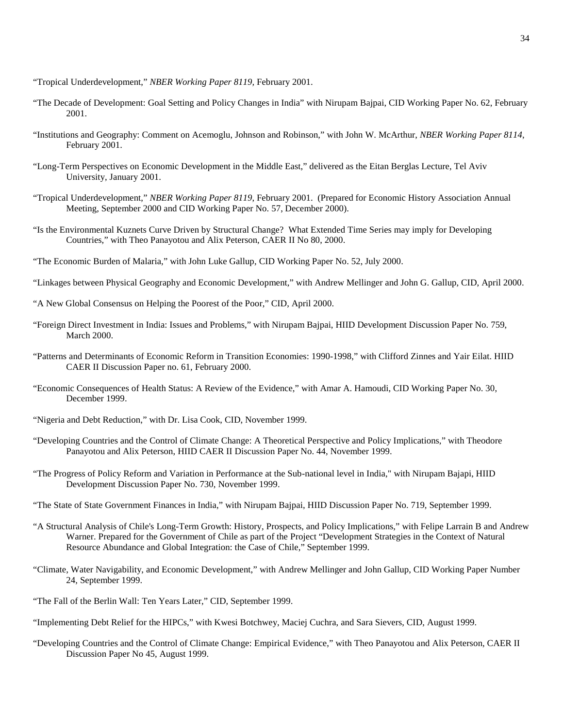"Tropical Underdevelopment," *NBER Working Paper 8119,* February 2001.

- "The Decade of Development: Goal Setting and Policy Changes in India" with Nirupam Bajpai, CID Working Paper No. 62, February 2001.
- "Institutions and Geography: Comment on Acemoglu, Johnson and Robinson," with John W. McArthur, *NBER Working Paper 8114*, February 2001.
- "Long-Term Perspectives on Economic Development in the Middle East," delivered as the Eitan Berglas Lecture, Tel Aviv University, January 2001.
- "Tropical Underdevelopment," *NBER Working Paper 8119*, February 2001. (Prepared for Economic History Association Annual Meeting, September 2000 and CID Working Paper No. 57, December 2000).
- "Is the Environmental Kuznets Curve Driven by Structural Change? What Extended Time Series may imply for Developing Countries," with Theo Panayotou and Alix Peterson, CAER II No 80, 2000.
- "The Economic Burden of Malaria," with John Luke Gallup, CID Working Paper No. 52, July 2000.
- "Linkages between Physical Geography and Economic Development," with Andrew Mellinger and John G. Gallup, CID, April 2000.
- "A New Global Consensus on Helping the Poorest of the Poor," CID, April 2000.
- "Foreign Direct Investment in India: Issues and Problems," with Nirupam Bajpai, HIID Development Discussion Paper No. 759, March 2000.
- "Patterns and Determinants of Economic Reform in Transition Economies: 1990-1998," with Clifford Zinnes and Yair Eilat. HIID CAER II Discussion Paper no. 61, February 2000.
- "Economic Consequences of Health Status: A Review of the Evidence," with Amar A. Hamoudi, CID Working Paper No. 30, December 1999.
- "Nigeria and Debt Reduction," with Dr. Lisa Cook, CID, November 1999.
- "Developing Countries and the Control of Climate Change: A Theoretical Perspective and Policy Implications," with Theodore Panayotou and Alix Peterson, HIID CAER II Discussion Paper No. 44, November 1999.
- "The Progress of Policy Reform and Variation in Performance at the Sub-national level in India," with Nirupam Bajapi, HIID Development Discussion Paper No. 730, November 1999.
- "The State of State Government Finances in India," with Nirupam Bajpai, HIID Discussion Paper No. 719, September 1999.
- "A Structural Analysis of Chile's Long-Term Growth: History, Prospects, and Policy Implications," with Felipe Larrain B and Andrew Warner. Prepared for the Government of Chile as part of the Project "Development Strategies in the Context of Natural Resource Abundance and Global Integration: the Case of Chile," September 1999.
- "Climate, Water Navigability, and Economic Development," with Andrew Mellinger and John Gallup, CID Working Paper Number 24, September 1999.
- "The Fall of the Berlin Wall: Ten Years Later," CID, September 1999.
- "Implementing Debt Relief for the HIPCs," with Kwesi Botchwey, Maciej Cuchra, and Sara Sievers, CID, August 1999.
- "Developing Countries and the Control of Climate Change: Empirical Evidence," with Theo Panayotou and Alix Peterson, CAER II Discussion Paper No 45, August 1999.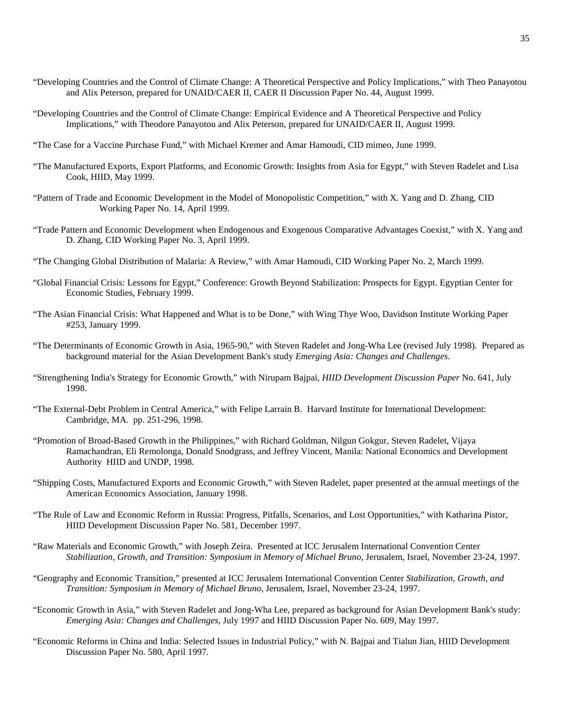- "Developing Countries and the Control of Climate Change: A Theoretical Perspective and Policy Implications," with Theo Panayotou and Alix Peterson, prepared for UNAID/CAER II, CAER II Discussion Paper No. 44, August 1999.
- "Developing Countries and the Control of Climate Change: Empirical Evidence and A Theoretical Perspective and Policy Implications," with Theodore Panayotou and Alix Peterson, prepared for UNAID/CAER II, August 1999.
- "The Case for a Vaccine Purchase Fund," with Michael Kremer and Amar Hamoudi, CID mimeo, June 1999.
- "The Manufactured Exports, Export Platforms, and Economic Growth: Insights from Asia for Egypt," with Steven Radelet and Lisa Cook, HIID, May 1999.
- "Pattern of Trade and Economic Development in the Model of Monopolistic Competition," with X. Yang and D. Zhang, CID Working Paper No. 14, April 1999.
- "Trade Pattern and Economic Development when Endogenous and Exogenous Comparative Advantages Coexist," with X. Yang and D. Zhang, CID Working Paper No. 3, April 1999.
- "The Changing Global Distribution of Malaria: A Review," with Amar Hamoudi, CID Working Paper No. 2, March 1999.
- "Global Financial Crisis: Lessons for Egypt," Conference: Growth Beyond Stabilization: Prospects for Egypt. Egyptian Center for Economic Studies, February 1999.
- "The Asian Financial Crisis: What Happened and What is to be Done," with Wing Thye Woo, Davidson Institute Working Paper #253, January 1999.
- "The Determinants of Economic Growth in Asia, 1965-90," with Steven Radelet and Jong-Wha Lee (revised July 1998). Prepared as background material for the Asian Development Bank's study *Emerging Asia: Changes and Challenges*.
- "Strengthening India's Strategy for Economic Growth," with Nirupam Bajpai, *HIID Development Discussion Paper* No. 641, July 1998.
- "The External-Debt Problem in Central America," with Felipe Larrain B. Harvard Institute for International Development: Cambridge, MA. pp. 251-296, 1998.
- "Promotion of Broad-Based Growth in the Philippines," with Richard Goldman, Nilgun Gokgur, Steven Radelet, Vijaya Ramachandran, Eli Remolonga, Donald Snodgrass, and Jeffrey Vincent, Manila: National Economics and Development Authority HIID and UNDP, 1998.
- "Shipping Costs, Manufactured Exports and Economic Growth," with Steven Radelet, paper presented at the annual meetings of the American Economics Association, January 1998.
- "The Rule of Law and Economic Reform in Russia: Progress, Pitfalls, Scenarios, and Lost Opportunities," with Katharina Pistor, HIID Development Discussion Paper No. 581, December 1997.
- "Raw Materials and Economic Growth," with Joseph Zeira. Presented at ICC Jerusalem International Convention Center *Stabilization, Growth, and Transition: Symposium in Memory of Michael Bruno*, Jerusalem, Israel, November 23-24, 1997.
- "Geography and Economic Transition," presented at ICC Jerusalem International Convention Center *Stabilization, Growth, and Transition: Symposium in Memory of Michael Bruno*, Jerusalem, Israel, November 23-24, 1997.
- "Economic Growth in Asia," with Steven Radelet and Jong-Wha Lee, prepared as background for Asian Development Bank's study: *Emerging Asia: Changes and Challenges*, July 1997 and HIID Discussion Paper No. 609, May 1997.
- "Economic Reforms in China and India: Selected Issues in Industrial Policy," with N. Bajpai and Tialun Jian, HIID Development Discussion Paper No. 580, April 1997.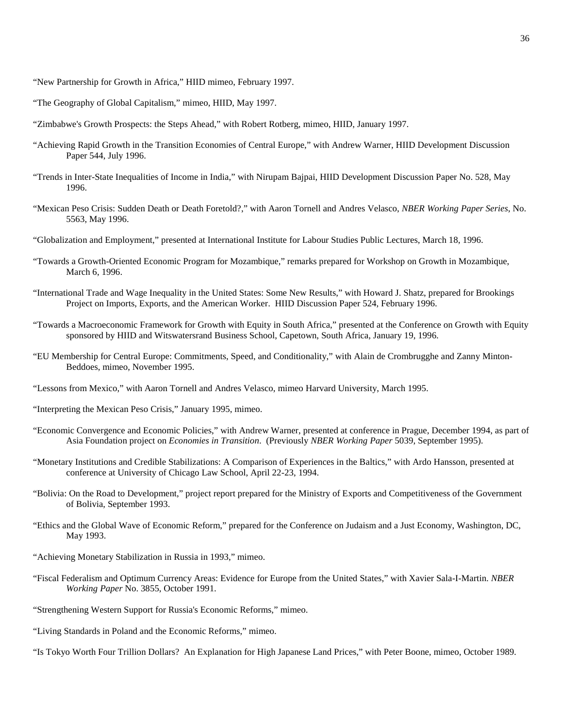"New Partnership for Growth in Africa," HIID mimeo, February 1997.

- "The Geography of Global Capitalism," mimeo, HIID, May 1997.
- "Zimbabwe's Growth Prospects: the Steps Ahead," with Robert Rotberg, mimeo, HIID, January 1997.
- "Achieving Rapid Growth in the Transition Economies of Central Europe," with Andrew Warner, HIID Development Discussion Paper 544, July 1996.
- "Trends in Inter-State Inequalities of Income in India," with Nirupam Bajpai, HIID Development Discussion Paper No. 528, May 1996.
- "Mexican Peso Crisis: Sudden Death or Death Foretold?," with Aaron Tornell and Andres Velasco, *NBER Working Paper Series*, No. 5563, May 1996.
- "Globalization and Employment," presented at International Institute for Labour Studies Public Lectures, March 18, 1996.
- "Towards a Growth-Oriented Economic Program for Mozambique," remarks prepared for Workshop on Growth in Mozambique, March 6, 1996.
- "International Trade and Wage Inequality in the United States: Some New Results," with Howard J. Shatz, prepared for Brookings Project on Imports, Exports, and the American Worker. HIID Discussion Paper 524, February 1996.
- "Towards a Macroeconomic Framework for Growth with Equity in South Africa," presented at the Conference on Growth with Equity sponsored by HIID and Witswatersrand Business School, Capetown, South Africa, January 19, 1996.
- "EU Membership for Central Europe: Commitments, Speed, and Conditionality," with Alain de Crombrugghe and Zanny Minton-Beddoes, mimeo, November 1995.
- "Lessons from Mexico," with Aaron Tornell and Andres Velasco, mimeo Harvard University, March 1995.
- "Interpreting the Mexican Peso Crisis," January 1995, mimeo.
- "Economic Convergence and Economic Policies," with Andrew Warner, presented at conference in Prague, December 1994, as part of Asia Foundation project on *Economies in Transition*. (Previously *NBER Working Paper* 5039, September 1995).
- "Monetary Institutions and Credible Stabilizations: A Comparison of Experiences in the Baltics," with Ardo Hansson, presented at conference at University of Chicago Law School, April 22-23, 1994.
- "Bolivia: On the Road to Development," project report prepared for the Ministry of Exports and Competitiveness of the Government of Bolivia, September 1993.
- "Ethics and the Global Wave of Economic Reform," prepared for the Conference on Judaism and a Just Economy, Washington, DC, May 1993.
- "Achieving Monetary Stabilization in Russia in 1993," mimeo.
- "Fiscal Federalism and Optimum Currency Areas: Evidence for Europe from the United States," with Xavier Sala-I-Martin. *NBER Working Paper* No. 3855, October 1991.
- "Strengthening Western Support for Russia's Economic Reforms," mimeo.
- "Living Standards in Poland and the Economic Reforms," mimeo.
- "Is Tokyo Worth Four Trillion Dollars? An Explanation for High Japanese Land Prices," with Peter Boone, mimeo, October 1989.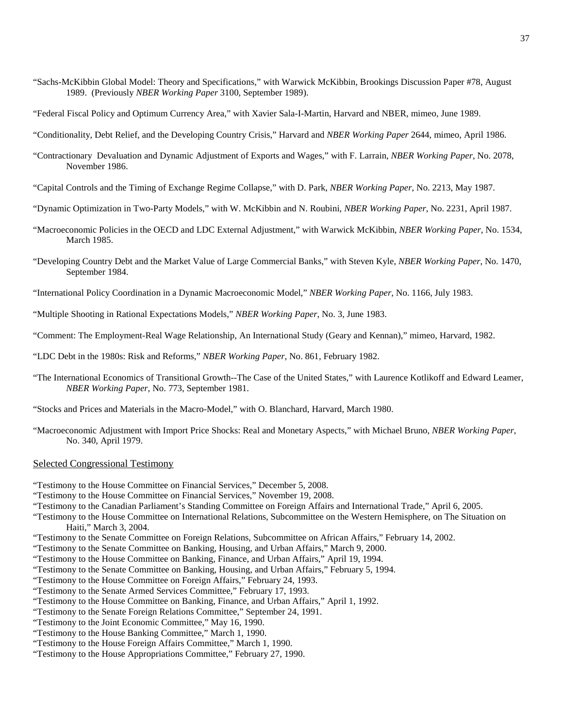- "Sachs-McKibbin Global Model: Theory and Specifications," with Warwick McKibbin, Brookings Discussion Paper #78, August 1989. (Previously *NBER Working Paper* 3100, September 1989).
- "Federal Fiscal Policy and Optimum Currency Area," with Xavier Sala-I-Martin, Harvard and NBER, mimeo, June 1989.
- "Conditionality, Debt Relief, and the Developing Country Crisis," Harvard and *NBER Working Paper* 2644, mimeo, April 1986.
- "Contractionary Devaluation and Dynamic Adjustment of Exports and Wages," with F. Larrain, *NBER Working Paper*, No. 2078, November 1986.
- "Capital Controls and the Timing of Exchange Regime Collapse," with D. Park, *NBER Working Paper*, No. 2213, May 1987.
- "Dynamic Optimization in Two-Party Models," with W. McKibbin and N. Roubini, *NBER Working Paper*, No. 2231, April 1987.
- "Macroeconomic Policies in the OECD and LDC External Adjustment," with Warwick McKibbin, *NBER Working Paper,* No. 1534, March 1985.
- "Developing Country Debt and the Market Value of Large Commercial Banks," with Steven Kyle, *NBER Working Paper*, No. 1470, September 1984.
- "International Policy Coordination in a Dynamic Macroeconomic Model," *NBER Working Paper*, No. 1166, July 1983.
- "Multiple Shooting in Rational Expectations Models," *NBER Working Paper*, No. 3, June 1983.
- "Comment: The Employment-Real Wage Relationship, An International Study (Geary and Kennan)," mimeo, Harvard, 1982.
- "LDC Debt in the 1980s: Risk and Reforms," *NBER Working Paper*, No. 861, February 1982.
- "The International Economics of Transitional Growth--The Case of the United States," with Laurence Kotlikoff and Edward Leamer, *NBER Working Paper*, No. 773, September 1981.
- "Stocks and Prices and Materials in the Macro-Model," with O. Blanchard, Harvard, March 1980.
- "Macroeconomic Adjustment with Import Price Shocks: Real and Monetary Aspects," with Michael Bruno, *NBER Working Paper*, No. 340, April 1979.

#### Selected Congressional Testimony

- "Testimony to the House Committee on Financial Services," December 5, 2008.
- "Testimony to the House Committee on Financial Services," November 19, 2008.
- "Testimony to the Canadian Parliament's Standing Committee on Foreign Affairs and International Trade," April 6, 2005.
- "Testimony to the House Committee on International Relations, Subcommittee on the Western Hemisphere, on The Situation on Haiti," March 3, 2004.
- "Testimony to the Senate Committee on Foreign Relations, Subcommittee on African Affairs," February 14, 2002.
- "Testimony to the Senate Committee on Banking, Housing, and Urban Affairs," March 9, 2000.
- "Testimony to the House Committee on Banking, Finance, and Urban Affairs," April 19, 1994.
- "Testimony to the Senate Committee on Banking, Housing, and Urban Affairs," February 5, 1994.
- "Testimony to the House Committee on Foreign Affairs," February 24, 1993.
- "Testimony to the Senate Armed Services Committee," February 17, 1993.
- "Testimony to the House Committee on Banking, Finance, and Urban Affairs," April 1, 1992.
- "Testimony to the Senate Foreign Relations Committee," September 24, 1991.
- "Testimony to the Joint Economic Committee," May 16, 1990.
- "Testimony to the House Banking Committee," March 1, 1990.
- "Testimony to the House Foreign Affairs Committee," March 1, 1990.
- "Testimony to the House Appropriations Committee," February 27, 1990.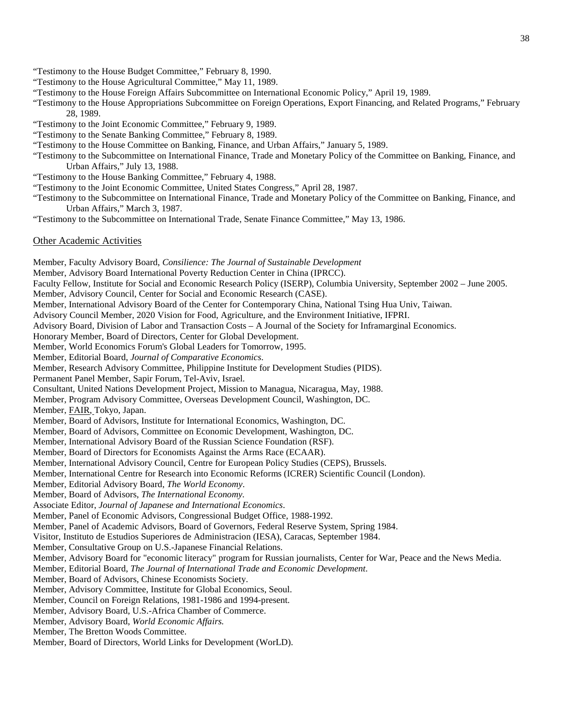- "Testimony to the House Budget Committee," February 8, 1990.
- "Testimony to the House Agricultural Committee," May 11, 1989.
- "Testimony to the House Foreign Affairs Subcommittee on International Economic Policy," April 19, 1989.
- "Testimony to the House Appropriations Subcommittee on Foreign Operations, Export Financing, and Related Programs," February 28, 1989.
- "Testimony to the Joint Economic Committee," February 9, 1989.
- "Testimony to the Senate Banking Committee," February 8, 1989.
- "Testimony to the House Committee on Banking, Finance, and Urban Affairs," January 5, 1989.
- "Testimony to the Subcommittee on International Finance, Trade and Monetary Policy of the Committee on Banking, Finance, and Urban Affairs," July 13, 1988.
- "Testimony to the House Banking Committee," February 4, 1988.
- "Testimony to the Joint Economic Committee, United States Congress," April 28, 1987.
- "Testimony to the Subcommittee on International Finance, Trade and Monetary Policy of the Committee on Banking, Finance, and Urban Affairs," March 3, 1987.
- "Testimony to the Subcommittee on International Trade, Senate Finance Committee," May 13, 1986.

## Other Academic Activities

Member, Faculty Advisory Board, *Consilience: The Journal of Sustainable Development* Member, Advisory Board International Poverty Reduction Center in China (IPRCC). Faculty Fellow, Institute for Social and Economic Research Policy (ISERP), Columbia University, September 2002 – June 2005. Member, Advisory Council, Center for Social and Economic Research (CASE). Member, International Advisory Board of the Center for Contemporary China, National Tsing Hua Univ, Taiwan. Advisory Council Member, 2020 Vision for Food, Agriculture, and the Environment Initiative, IFPRI. Advisory Board, Division of Labor and Transaction Costs – A Journal of the Society for Inframarginal Economics. Honorary Member, Board of Directors, Center for Global Development. Member, World Economics Forum's Global Leaders for Tomorrow, 1995. Member, Editorial Board, *Journal of Comparative Economics*. Member, Research Advisory Committee, Philippine Institute for Development Studies (PIDS). Permanent Panel Member, Sapir Forum, Tel-Aviv, Israel. Consultant, United Nations Development Project, Mission to Managua, Nicaragua, May, 1988. Member, Program Advisory Committee, Overseas Development Council, Washington, DC. Member, FAIR, Tokyo, Japan. Member, Board of Advisors, Institute for International Economics, Washington, DC. Member, Board of Advisors, Committee on Economic Development, Washington, DC. Member, International Advisory Board of the Russian Science Foundation (RSF). Member, Board of Directors for Economists Against the Arms Race (ECAAR). Member, International Advisory Council, Centre for European Policy Studies (CEPS), Brussels. Member, International Centre for Research into Economic Reforms (ICRER) Scientific Council (London). Member, Editorial Advisory Board, *The World Economy*. Member, Board of Advisors, *The International Economy.* Associate Editor, *Journal of Japanese and International Economics*. Member, Panel of Economic Advisors, Congressional Budget Office, 1988-1992. Member, Panel of Academic Advisors, Board of Governors, Federal Reserve System, Spring 1984. Visitor, Instituto de Estudios Superiores de Administracion (IESA), Caracas, September 1984. Member, Consultative Group on U.S.-Japanese Financial Relations. Member, Advisory Board for "economic literacy" program for Russian journalists, Center for War, Peace and the News Media. Member, Editorial Board, *The Journal of International Trade and Economic Development*. Member, Board of Advisors, Chinese Economists Society. Member, Advisory Committee, Institute for Global Economics, Seoul. Member, Council on Foreign Relations, 1981-1986 and 1994-present. Member, Advisory Board, U.S.-Africa Chamber of Commerce. Member, Advisory Board, *World Economic Affairs.* Member, The Bretton Woods Committee. Member, Board of Directors, World Links for Development (WorLD).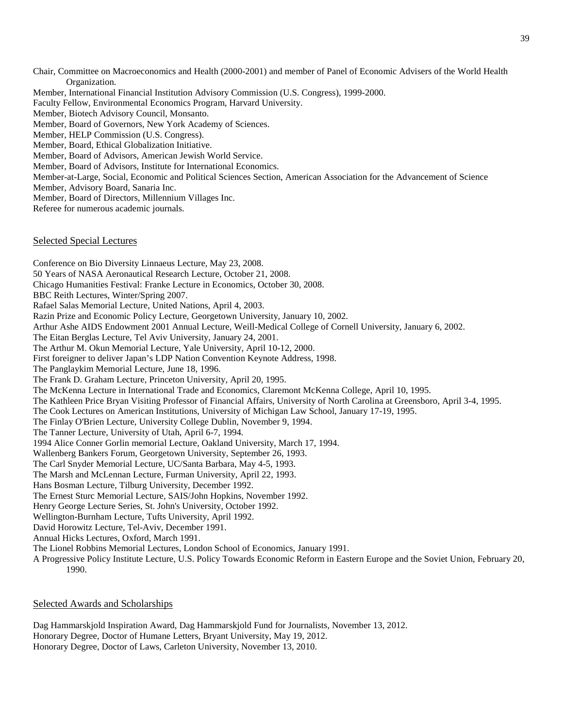Chair, Committee on Macroeconomics and Health (2000-2001) and member of Panel of Economic Advisers of the World Health Organization. Member, International Financial Institution Advisory Commission (U.S. Congress), 1999-2000. Faculty Fellow, Environmental Economics Program, Harvard University. Member, Biotech Advisory Council, Monsanto. Member, Board of Governors, New York Academy of Sciences. Member, HELP Commission (U.S. Congress). Member, Board, Ethical Globalization Initiative. Member, Board of Advisors, American Jewish World Service. Member, Board of Advisors, Institute for International Economics. Member-at-Large, Social, Economic and Political Sciences Section, American Association for the Advancement of Science Member, Advisory Board, Sanaria Inc. Member, Board of Directors, Millennium Villages Inc. Referee for numerous academic journals.

## Selected Special Lectures

Conference on Bio Diversity Linnaeus Lecture, May 23, 2008. 50 Years of NASA Aeronautical Research Lecture, October 21, 2008. Chicago Humanities Festival: Franke Lecture in Economics, October 30, 2008. BBC Reith Lectures, Winter/Spring 2007. Rafael Salas Memorial Lecture, United Nations, April 4, 2003. Razin Prize and Economic Policy Lecture, Georgetown University, January 10, 2002. Arthur Ashe AIDS Endowment 2001 Annual Lecture, Weill-Medical College of Cornell University, January 6, 2002. The Eitan Berglas Lecture, Tel Aviv University, January 24, 2001. The Arthur M. Okun Memorial Lecture, Yale University, April 10-12, 2000. First foreigner to deliver Japan's LDP Nation Convention Keynote Address, 1998. The Panglaykim Memorial Lecture, June 18, 1996. The Frank D. Graham Lecture, Princeton University, April 20, 1995. The McKenna Lecture in International Trade and Economics, Claremont McKenna College, April 10, 1995. The Kathleen Price Bryan Visiting Professor of Financial Affairs, University of North Carolina at Greensboro, April 3-4, 1995. The Cook Lectures on American Institutions, University of Michigan Law School, January 17-19, 1995. The Finlay O'Brien Lecture, University College Dublin, November 9, 1994. The Tanner Lecture, University of Utah, April 6-7, 1994. 1994 Alice Conner Gorlin memorial Lecture, Oakland University, March 17, 1994. Wallenberg Bankers Forum, Georgetown University, September 26, 1993. The Carl Snyder Memorial Lecture, UC/Santa Barbara, May 4-5, 1993. The Marsh and McLennan Lecture, Furman University, April 22, 1993. Hans Bosman Lecture, Tilburg University, December 1992. The Ernest Sturc Memorial Lecture, SAIS/John Hopkins, November 1992. Henry George Lecture Series, St. John's University, October 1992. Wellington-Burnham Lecture, Tufts University, April 1992. David Horowitz Lecture, Tel-Aviv, December 1991. Annual Hicks Lectures, Oxford, March 1991. The Lionel Robbins Memorial Lectures, London School of Economics, January 1991. A Progressive Policy Institute Lecture, U.S. Policy Towards Economic Reform in Eastern Europe and the Soviet Union, February 20,

Selected Awards and Scholarships

1990.

Dag Hammarskjold Inspiration Award, Dag Hammarskjold Fund for Journalists, November 13, 2012. Honorary Degree, Doctor of Humane Letters, Bryant University, May 19, 2012. Honorary Degree, Doctor of Laws, Carleton University, November 13, 2010.